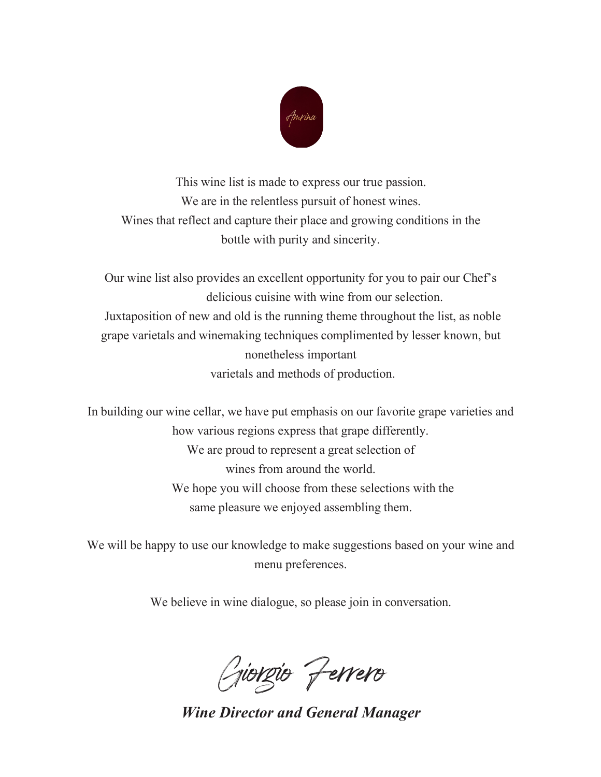

This wine list is made to express our true passion. We are in the relentless pursuit of honest wines. Wines that reflect and capture their place and growing conditions in the bottle with purity and sincerity.

Our wine list also provides an excellent opportunity for you to pair our Chef's delicious cuisine with wine from our selection. Juxtaposition of new and old is the running theme throughout the list, as noble grape varietals and winemaking techniques complimented by lesser known, but nonetheless important varietals and methods of production.

In building our wine cellar, we have put emphasis on our favorite grape varieties and how various regions express that grape differently. We are proud to represent a great selection of wines from around the world. We hope you will choose from these selections with the same pleasure we enjoyed assembling them.

We will be happy to use our knowledge to make suggestions based on your wine and menu preferences.

We believe in wine dialogue, so please join in conversation.

Giorgio Ferrero

*Wine Director and General Manager*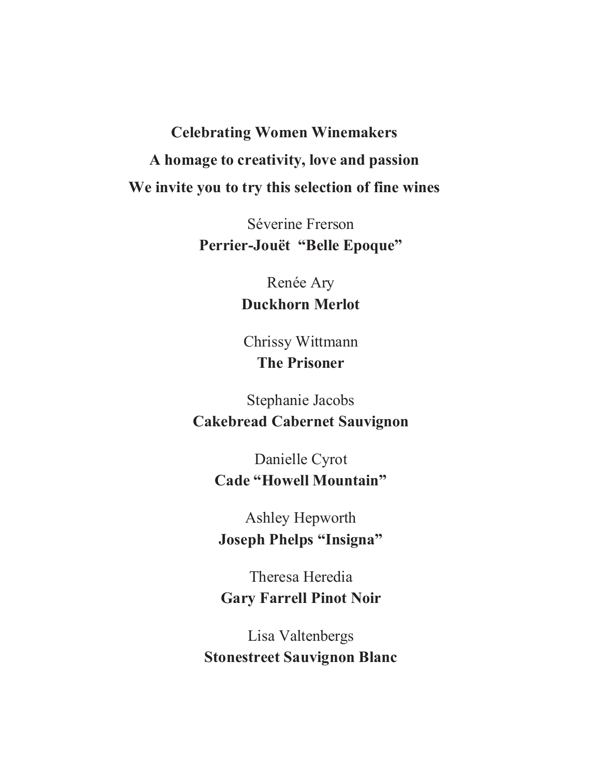# **Celebrating Women Winemakers A homage to creativity, love and passion We invite you to try this selection of fine wines**

Séverine Frerson **Perrier-Jouët "Belle Epoque"**

> Renée Ary **Duckhorn Merlot**

Chrissy Wittmann **The Prisoner**

Stephanie Jacobs **Cakebread Cabernet Sauvignon**

> Danielle Cyrot **Cade "Howell Mountain"**

Ashley Hepworth **Joseph Phelps "Insigna"**

Theresa Heredia **Gary Farrell Pinot Noir**

Lisa Valtenbergs **Stonestreet Sauvignon Blanc**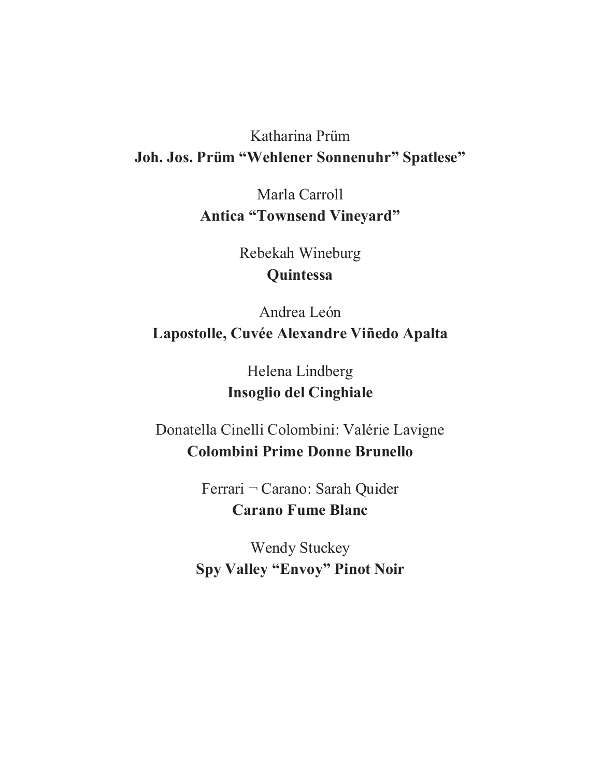## Katharina Prüm **Joh. Jos. Prüm "Wehlener Sonnenuhr" Spatlese"**

Marla Carroll **Antica "Townsend Vineyard"**

> Rebekah Wineburg **Quintessa**

Andrea León **Lapostolle, Cuvée Alexandre Viñedo Apalta**

> Helena Lindberg **Insoglio del Cinghiale**

Donatella Cinelli Colombini: Valérie Lavigne **Colombini Prime Donne Brunello**

> Ferrari ¬ Carano: Sarah Quider **Carano Fume Blanc**

Wendy Stuckey **Spy Valley "Envoy" Pinot Noir**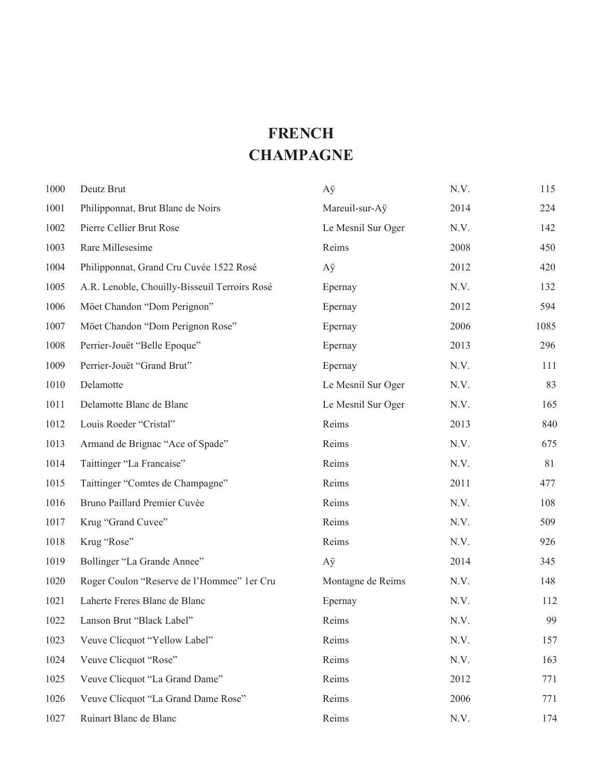## **FRENCH CHAMPAGNE**

| 1000 | Deutz Brut                                    | Aÿ                 | N.V. | 115  |
|------|-----------------------------------------------|--------------------|------|------|
| 1001 | Philipponnat, Brut Blanc de Noirs             | Mareuil-sur-Aÿ     | 2014 | 224  |
| 1002 | Pierre Cellier Brut Rose                      | Le Mesnil Sur Oger | N.V. | 142  |
| 1003 | Rare Millesesime                              | Reims              | 2008 | 450  |
| 1004 | Philipponnat, Grand Cru Cuvée 1522 Rosé       | Aÿ                 | 2012 | 420  |
| 1005 | A.R. Lenoble, Chouilly-Bisseuil Terroirs Rosé | Epernay            | N.V. | 132  |
| 1006 | Möet Chandon "Dom Perignon"                   | Epernay            | 2012 | 594  |
| 1007 | Möet Chandon "Dom Perignon Rose"              | Epernay            | 2006 | 1085 |
| 1008 | Perrier-Jouët "Belle Epoque"                  | Epernay            | 2013 | 296  |
| 1009 | Perrier-Jouët "Grand Brut"                    | Epernay            | N.V. | 111  |
| 1010 | Delamotte                                     | Le Mesnil Sur Oger | N.V. | 83   |
| 1011 | Delamotte Blanc de Blanc                      | Le Mesnil Sur Oger | N.V. | 165  |
| 1012 | Louis Roeder "Cristal"                        | Reims              | 2013 | 840  |
| 1013 | Armand de Brignac "Ace of Spade"              | Reims              | N.V. | 675  |
| 1014 | Taittinger "La Francaise"                     | Reims              | N.V. | 81   |
| 1015 | Taittinger "Comtes de Champagne"              | Reims              | 2011 | 477  |
| 1016 | Bruno Paillard Premier Cuvée                  | Reims              | N.V. | 108  |
| 1017 | Krug "Grand Cuvee"                            | Reims              | N.V. | 509  |
| 1018 | Krug "Rose"                                   | Reims              | N.V. | 926  |
| 1019 | Bollinger "La Grande Annee"                   | Аÿ                 | 2014 | 345  |
| 1020 | Roger Coulon "Reserve de l'Hommee" 1er Cru    | Montagne de Reims  | N.V. | 148  |
| 1021 | Laherte Freres Blanc de Blanc                 | Epernay            | N.V. | 112  |
| 1022 | Lanson Brut "Black Label"                     | Reims              | N.V. | 99   |
| 1023 | Veuve Clicquot "Yellow Label"                 | Reims              | N.V. | 157  |
| 1024 | Veuve Clicquot "Rose"                         | Reims              | N.V. | 163  |
| 1025 | Veuve Clicquot "La Grand Dame"                | Reims              | 2012 | 771  |
| 1026 | Veuve Clicquot "La Grand Dame Rose"           | Reims              | 2006 | 771  |
| 1027 | Ruinart Blanc de Blanc                        | Reims              | N.V. | 174  |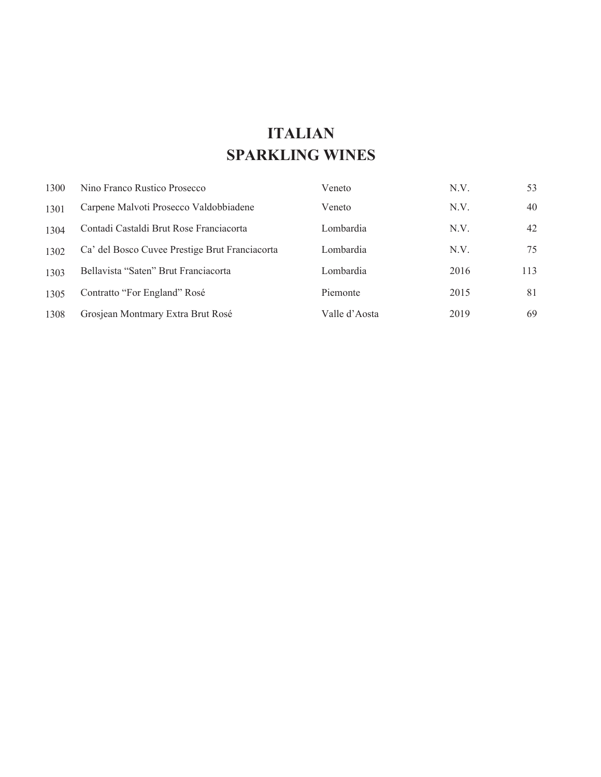## **ITALIAN SPARKLING WINES**

| 1300 | Nino Franco Rustico Prosecco                   | Veneto        | N.V. | 53  |
|------|------------------------------------------------|---------------|------|-----|
| 1301 | Carpene Malvoti Prosecco Valdobbiadene         | Veneto        | N.V. | 40  |
| 1304 | Contadi Castaldi Brut Rose Franciacorta        | Lombardia     | N.V. | 42  |
| 1302 | Ca' del Bosco Cuvee Prestige Brut Franciacorta | Lombardia     | N.V. | 75  |
| 1303 | Bellavista "Saten" Brut Franciacorta           | Lombardia     | 2016 | 113 |
| 1305 | Contratto "For England" Rosé                   | Piemonte      | 2015 | 81  |
| 1308 | Grosjean Montmary Extra Brut Rosé              | Valle d'Aosta | 2019 | 69  |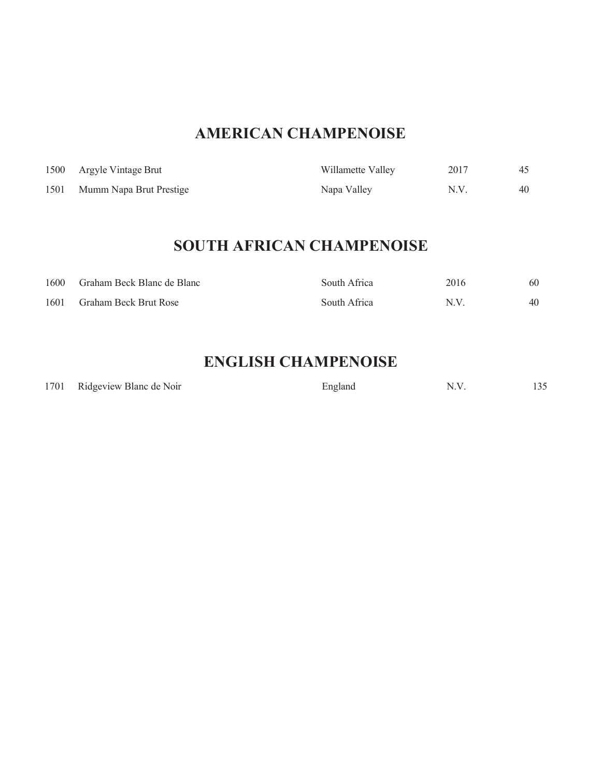## **AMERICAN CHAMPENOISE**

|      | 1500 Argyle Vintage Brut | Willamette Valley | 2017 |    |
|------|--------------------------|-------------------|------|----|
| 1501 | Mumm Napa Brut Prestige  | Napa Valley       | N.V. | 40 |

## **SOUTH AFRICAN CHAMPENOISE**

| 1600 | Graham Beck Blanc de Blanc | South Africa | 2016 | 60 |
|------|----------------------------|--------------|------|----|
| 1601 | Graham Beck Brut Rose      | South Africa | N.V  | 40 |

## **ENGLISH CHAMPENOISE**

|  | 1701 Ridgeview Blanc de Noir | England |  | 135 |
|--|------------------------------|---------|--|-----|
|--|------------------------------|---------|--|-----|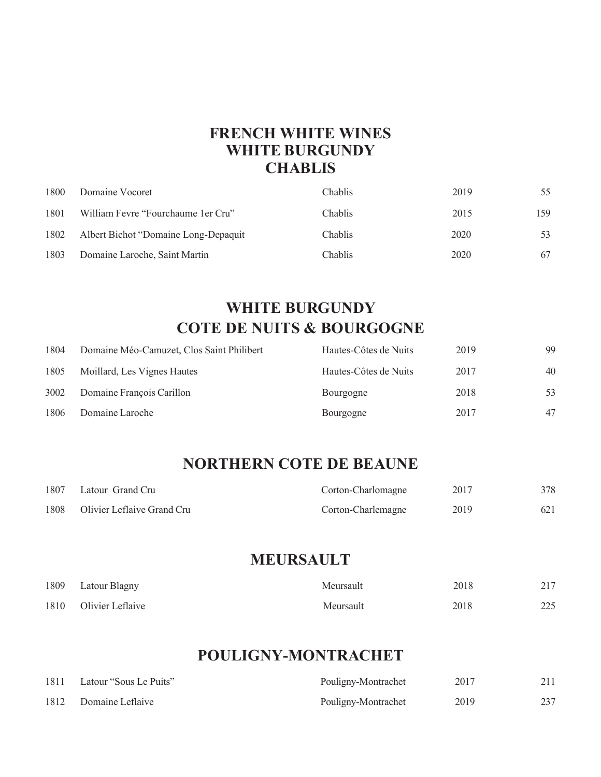### **FRENCH WHITE WINES WHITE BURGUNDY CHABLIS**

| 1800 | Domaine Vocoret                       | <b>Chablis</b> | 2019 | 55  |
|------|---------------------------------------|----------------|------|-----|
| 1801 | William Fevre "Fourchaume 1 er Cru"   | <b>Chablis</b> | 2015 | 159 |
| 1802 | Albert Bichot "Domaine Long-Depaguit" | Chablis        | 2020 | 53  |
| 1803 | Domaine Laroche, Saint Martin         | Chablis        | 2020 | 67  |

## **WHITE BURGUNDY COTE DE NUITS & BOURGOGNE**

| 1804 | Domaine Méo-Camuzet, Clos Saint Philibert | Hautes-Côtes de Nuits | 2019 | 99 |
|------|-------------------------------------------|-----------------------|------|----|
| 1805 | Moillard, Les Vignes Hautes               | Hautes-Côtes de Nuits | 2017 | 40 |
| 3002 | Domaine François Carillon                 | Bourgogne             | 2018 | 53 |
| 1806 | Domaine Laroche                           | Bourgogne             | 2017 | 47 |

### **NORTHERN COTE DE BEAUNE**

| 1807 | Latour Grand Cru           | Corton-Charlomagne | 2017 | 378 |
|------|----------------------------|--------------------|------|-----|
| 1808 | Olivier Leflaive Grand Cru | Corton-Charlemagne | 2019 | 621 |

### **MEURSAULT**

| 1809 | Latour Blagny         | Meursault | 2018 | 217 |
|------|-----------------------|-----------|------|-----|
|      | 1810 Olivier Leflaive | Meursault | 2018 | 225 |

### **POULIGNY-MONTRACHET**

| 1811 | Latour "Sous Le Puits" | Pouligny-Montrachet | 2017 |     |
|------|------------------------|---------------------|------|-----|
| 1812 | Domaine Leflaive       | Pouligny-Montrachet | 2019 | 237 |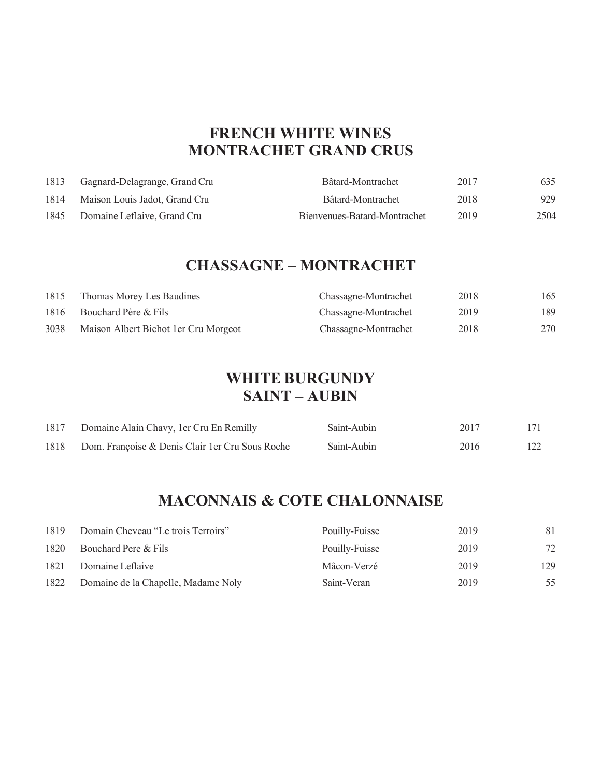### **FRENCH WHITE WINES MONTRACHET GRAND CRUS**

| 1813 | Gagnard-Delagrange, Grand Cru | Bâtard-Montrachet            | 2017 | 635  |
|------|-------------------------------|------------------------------|------|------|
| 1814 | Maison Louis Jadot, Grand Cru | Bâtard-Montrachet            | 2018 | 929  |
| 1845 | Domaine Leflaive, Grand Cru   | Bienvenues-Batard-Montrachet | 2019 | 2504 |

### **CHASSAGNE – MONTRACHET**

| 1815 | Thomas Morey Les Baudines             | Chassagne-Montrachet | 2018 | 165 |
|------|---------------------------------------|----------------------|------|-----|
| 1816 | Bouchard Père & Fils                  | Chassagne-Montrachet | 2019 | 189 |
| 3038 | Maison Albert Bichot 1 er Cru Morgeot | Chassagne-Montrachet | 2018 | 270 |

#### **WHITE BURGUNDY SAINT – AUBIN**

| 1817 | Domaine Alain Chavy, 1er Cru En Remilly          | Saint-Aubin | 2017 | 171 |
|------|--------------------------------------------------|-------------|------|-----|
| 1818 | Dom. Françoise & Denis Clair 1 er Cru Sous Roche | Saint-Aubin | 2016 | 122 |

## **MACONNAIS & COTE CHALONNAISE**

| 1819 | Domain Cheveau "Le trois Terroirs"  | Pouilly-Fuisse | 2019 | 81  |
|------|-------------------------------------|----------------|------|-----|
| 1820 | Bouchard Pere & Fils                | Pouilly-Fuisse | 2019 | 72  |
| 1821 | Domaine Leflaive                    | Mâcon-Verzé    | 2019 | 129 |
| 1822 | Domaine de la Chapelle, Madame Noly | Saint-Veran    | 2019 | 55  |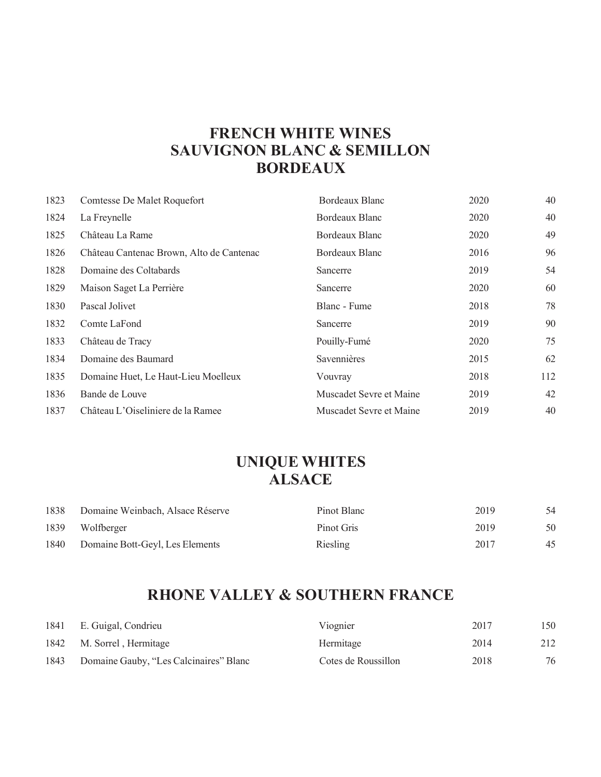### **FRENCH WHITE WINES SAUVIGNON BLANC & SEMILLON BORDEAUX**

| 1823 | Comtesse De Malet Roquefort              | Bordeaux Blanc          | 2020 | 40  |
|------|------------------------------------------|-------------------------|------|-----|
| 1824 | La Freynelle                             | Bordeaux Blanc          | 2020 | 40  |
| 1825 | Château La Rame                          | Bordeaux Blanc          | 2020 | 49  |
| 1826 | Château Cantenac Brown, Alto de Cantenac | Bordeaux Blanc          | 2016 | 96  |
| 1828 | Domaine des Coltabards                   | Sancerre                | 2019 | 54  |
| 1829 | Maison Saget La Perrière                 | Sancerre                | 2020 | 60  |
| 1830 | Pascal Jolivet                           | Blanc - Fume            | 2018 | 78  |
| 1832 | Comte LaFond                             | Sancerre                | 2019 | 90  |
| 1833 | Château de Tracy                         | Pouilly-Fumé            | 2020 | 75  |
| 1834 | Domaine des Baumard                      | Savennières             | 2015 | 62  |
| 1835 | Domaine Huet, Le Haut-Lieu Moelleux      | Vouvray                 | 2018 | 112 |
| 1836 | Bande de Louve                           | Muscadet Sevre et Maine | 2019 | 42  |
| 1837 | Château L'Oiseliniere de la Ramee        | Muscadet Sevre et Maine | 2019 | 40  |

## **UNIQUE WHITES ALSACE**

| 1838 | Domaine Weinbach, Alsace Réserve | Pinot Blanc | 2019 | 54 |
|------|----------------------------------|-------------|------|----|
| 1839 | Wolfberger                       | Pinot Gris  | 2019 | 50 |
| 1840 | Domaine Bott-Geyl, Les Elements  | Riesling    | 2017 | 45 |

## **RHONE VALLEY & SOUTHERN FRANCE**

|      | 1841 E. Guigal, Condrieu               | Viognier            | 2017 | 150 |
|------|----------------------------------------|---------------------|------|-----|
|      | 1842 M. Sorrel, Hermitage              | Hermitage           | 2014 | 212 |
| 1843 | Domaine Gauby, "Les Calcinaires" Blanc | Cotes de Roussillon | 2018 | 76  |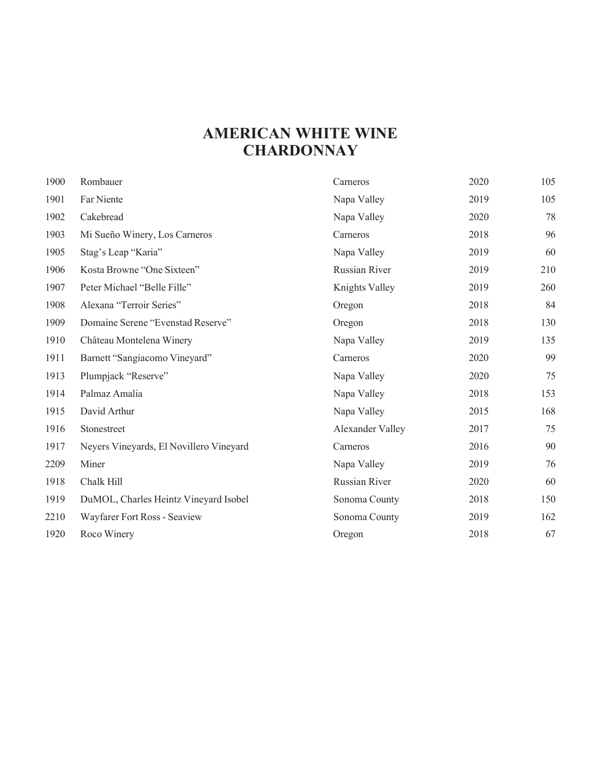### **AMERICAN WHITE WINE CHARDONNAY**

| 1900 | Rombauer                                | Carneros         | 2020 | 105 |
|------|-----------------------------------------|------------------|------|-----|
| 1901 | Far Niente                              | Napa Valley      | 2019 | 105 |
| 1902 | Cakebread                               | Napa Valley      | 2020 | 78  |
| 1903 | Mi Sueño Winery, Los Carneros           | Carneros         | 2018 | 96  |
| 1905 | Stag's Leap "Karia"                     | Napa Valley      | 2019 | 60  |
| 1906 | Kosta Browne "One Sixteen"              | Russian River    | 2019 | 210 |
| 1907 | Peter Michael "Belle Fille"             | Knights Valley   | 2019 | 260 |
| 1908 | Alexana "Terroir Series"                | Oregon           | 2018 | 84  |
| 1909 | Domaine Serene "Evenstad Reserve"       | Oregon           | 2018 | 130 |
| 1910 | Château Montelena Winery                | Napa Valley      | 2019 | 135 |
| 1911 | Barnett "Sangiacomo Vineyard"           | Carneros         | 2020 | 99  |
| 1913 | Plumpjack "Reserve"                     | Napa Valley      | 2020 | 75  |
| 1914 | Palmaz Amalia                           | Napa Valley      | 2018 | 153 |
| 1915 | David Arthur                            | Napa Valley      | 2015 | 168 |
| 1916 | Stonestreet                             | Alexander Valley | 2017 | 75  |
| 1917 | Neyers Vineyards, El Novillero Vineyard | Carneros         | 2016 | 90  |
| 2209 | Miner                                   | Napa Valley      | 2019 | 76  |
| 1918 | Chalk Hill                              | Russian River    | 2020 | 60  |
| 1919 | DuMOL, Charles Heintz Vineyard Isobel   | Sonoma County    | 2018 | 150 |
| 2210 | Wayfarer Fort Ross - Seaview            | Sonoma County    | 2019 | 162 |
| 1920 | Roco Winery                             | Oregon           | 2018 | 67  |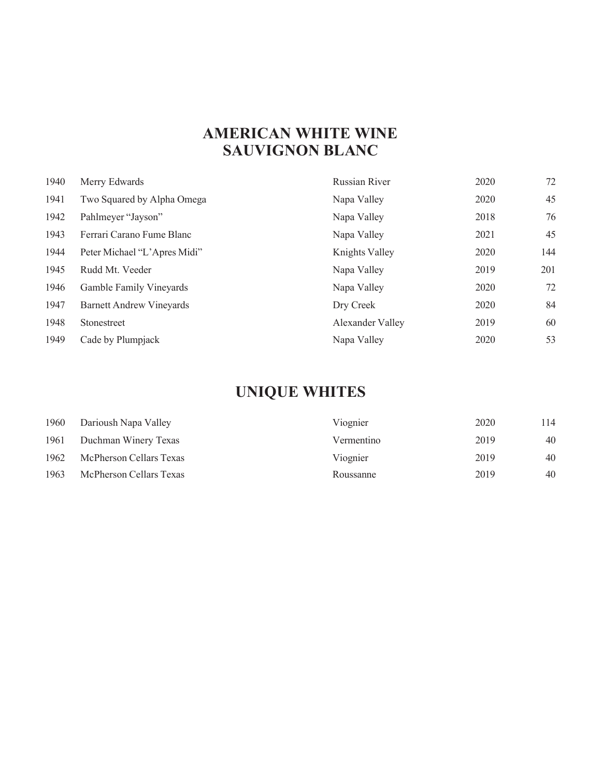## **AMERICAN WHITE WINE SAUVIGNON BLANC**

| 1940 | Merry Edwards                   | Russian River    | 2020 | 72  |
|------|---------------------------------|------------------|------|-----|
| 1941 | Two Squared by Alpha Omega      | Napa Valley      | 2020 | 45  |
| 1942 | Pahlmeyer "Jayson"              | Napa Valley      | 2018 | 76  |
| 1943 | Ferrari Carano Fume Blanc       | Napa Valley      | 2021 | 45  |
| 1944 | Peter Michael "L'Apres Midi"    | Knights Valley   | 2020 | 144 |
| 1945 | Rudd Mt. Veeder                 | Napa Valley      | 2019 | 201 |
| 1946 | Gamble Family Vineyards         | Napa Valley      | 2020 | 72  |
| 1947 | <b>Barnett Andrew Vineyards</b> | Dry Creek        | 2020 | 84  |
| 1948 | Stonestreet                     | Alexander Valley | 2019 | 60  |
| 1949 | Cade by Plumpjack               | Napa Valley      | 2020 | 53  |

# **UNIQUE WHITES**

| 1960 | Darioush Napa Valley    | Viognier   | 2020 | 114 |
|------|-------------------------|------------|------|-----|
| 1961 | Duchman Winery Texas    | Vermentino | 2019 | 40  |
| 1962 | McPherson Cellars Texas | Viognier   | 2019 | 40  |
| 1963 | McPherson Cellars Texas | Roussanne  | 2019 | 40  |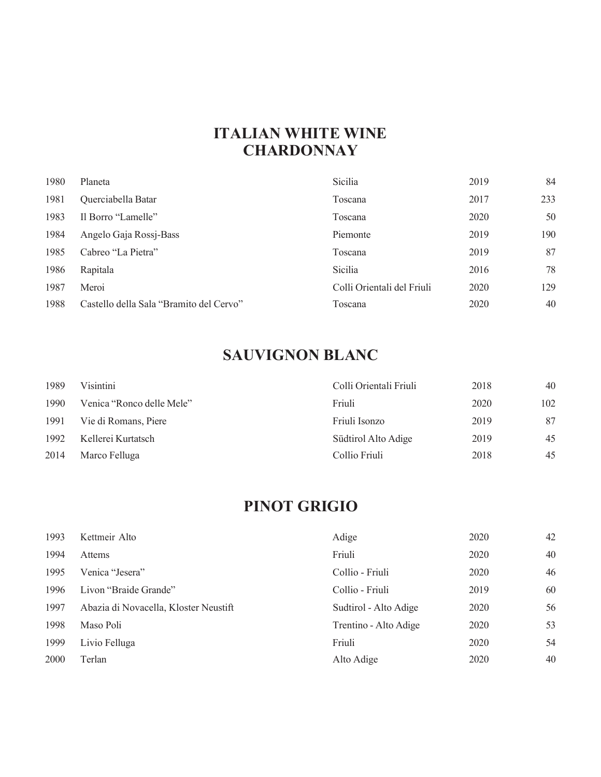### **ITALIAN WHITE WINE CHARDONNAY**

| 1980 | Planeta                                 | Sicilia                    | 2019 | 84  |
|------|-----------------------------------------|----------------------------|------|-----|
| 1981 | Querciabella Batar                      | Toscana                    | 2017 | 233 |
| 1983 | Il Borro "Lamelle"                      | Toscana                    | 2020 | 50  |
| 1984 | Angelo Gaja Rossj-Bass                  | Piemonte                   | 2019 | 190 |
| 1985 | Cabreo "La Pietra"                      | Toscana                    | 2019 | 87  |
| 1986 | Rapitala                                | Sicilia                    | 2016 | 78  |
| 1987 | Meroi                                   | Colli Orientali del Friuli | 2020 | 129 |
| 1988 | Castello della Sala "Bramito del Cervo" | Toscana                    | 2020 | 40  |

## **SAUVIGNON BLANC**

| 1989 | Visintini                 | Colli Orientali Friuli | 2018 | 40  |
|------|---------------------------|------------------------|------|-----|
| 1990 | Venica "Ronco delle Mele" | Friuli                 | 2020 | 102 |
| 1991 | Vie di Romans, Piere      | Friuli Isonzo          | 2019 | 87  |
| 1992 | Kellerei Kurtatsch        | Südtirol Alto Adige    | 2019 | 45  |
| 2014 | Marco Felluga             | Collio Friuli          | 2018 | 45  |

## **PINOT GRIGIO**

| 1993 | Kettmeir Alto                         | Adige                 | 2020 | 42 |
|------|---------------------------------------|-----------------------|------|----|
| 1994 | Attems                                | Friuli                | 2020 | 40 |
| 1995 | Venica "Jesera"                       | Collio - Friuli       | 2020 | 46 |
| 1996 | Livon "Braide Grande"                 | Collio - Friuli       | 2019 | 60 |
| 1997 | Abazia di Novacella, Kloster Neustift | Sudtirol - Alto Adige | 2020 | 56 |
| 1998 | Maso Poli                             | Trentino - Alto Adige | 2020 | 53 |
| 1999 | Livio Felluga                         | Friuli                | 2020 | 54 |
| 2000 | Terlan                                | Alto Adige            | 2020 | 40 |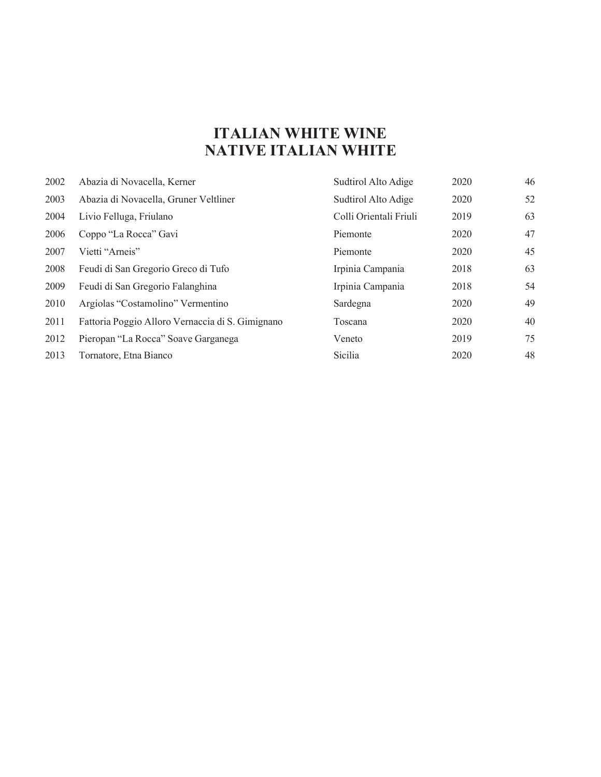## **ITALIAN WHITE WINE NATIVE ITALIAN WHITE**

| 2002 | Abazia di Novacella, Kerner                      | Sudtirol Alto Adige    | 2020 | 46 |
|------|--------------------------------------------------|------------------------|------|----|
| 2003 | Abazia di Novacella, Gruner Veltliner            | Sudtirol Alto Adige    | 2020 | 52 |
| 2004 | Livio Felluga, Friulano                          | Colli Orientali Friuli | 2019 | 63 |
| 2006 | Coppo "La Rocca" Gavi                            | Piemonte               | 2020 | 47 |
| 2007 | Vietti "Arneis"                                  | Piemonte               | 2020 | 45 |
| 2008 | Feudi di San Gregorio Greco di Tufo              | Irpinia Campania       | 2018 | 63 |
| 2009 | Feudi di San Gregorio Falanghina                 | Irpinia Campania       | 2018 | 54 |
| 2010 | Argiolas "Costamolino" Vermentino                | Sardegna               | 2020 | 49 |
| 2011 | Fattoria Poggio Alloro Vernaccia di S. Gimignano | Toscana                | 2020 | 40 |
| 2012 | Pieropan "La Rocca" Soave Garganega              | Veneto                 | 2019 | 75 |
| 2013 | Tornatore, Etna Bianco                           | Sicilia                | 2020 | 48 |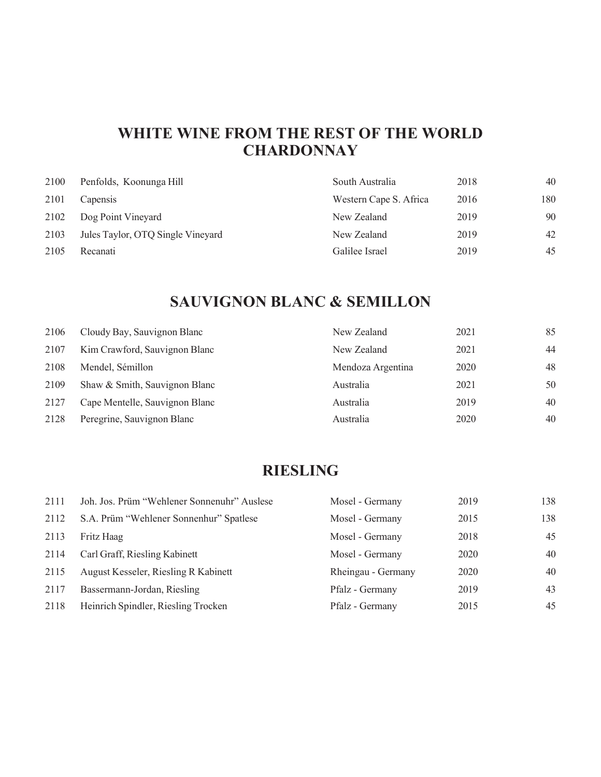## **WHITE WINE FROM THE REST OF THE WORLD CHARDONNAY**

| 2100 | Penfolds, Koonunga Hill           | South Australia        | 2018 | 40  |
|------|-----------------------------------|------------------------|------|-----|
| 2101 | Capensis                          | Western Cape S. Africa | 2016 | 180 |
| 2102 | Dog Point Vineyard                | New Zealand            | 2019 | 90  |
| 2103 | Jules Taylor, OTQ Single Vineyard | New Zealand            | 2019 | 42  |
| 2105 | Recanati                          | Galilee Israel         | 2019 | 45  |

## **SAUVIGNON BLANC & SEMILLON**

| 2106 | Cloudy Bay, Sauvignon Blanc    | New Zealand       | 2021 | 85 |
|------|--------------------------------|-------------------|------|----|
| 2107 | Kim Crawford, Sauvignon Blanc  | New Zealand       | 2021 | 44 |
| 2108 | Mendel, Sémillon               | Mendoza Argentina | 2020 | 48 |
| 2109 | Shaw & Smith, Sauvignon Blanc  | Australia         | 2021 | 50 |
| 2127 | Cape Mentelle, Sauvignon Blanc | Australia         | 2019 | 40 |
| 2128 | Peregrine, Sauvignon Blanc     | Australia         | 2020 | 40 |

### **RIESLING**

| 2111 | Joh. Jos. Prüm "Wehlener Sonnenuhr" Auslese | Mosel - Germany    | 2019 | 138 |
|------|---------------------------------------------|--------------------|------|-----|
| 2112 | S.A. Prüm "Wehlener Sonnenhur" Spatlese     | Mosel - Germany    | 2015 | 138 |
| 2113 | Fritz Haag                                  | Mosel - Germany    | 2018 | 45  |
| 2114 | Carl Graff, Riesling Kabinett               | Mosel - Germany    | 2020 | 40  |
| 2115 | August Kesseler, Riesling R Kabinett        | Rheingau - Germany | 2020 | 40  |
| 2117 | Bassermann-Jordan, Riesling                 | Pfalz - Germany    | 2019 | 43  |
| 2118 | Heinrich Spindler, Riesling Trocken         | Pfalz - Germany    | 2015 | 45  |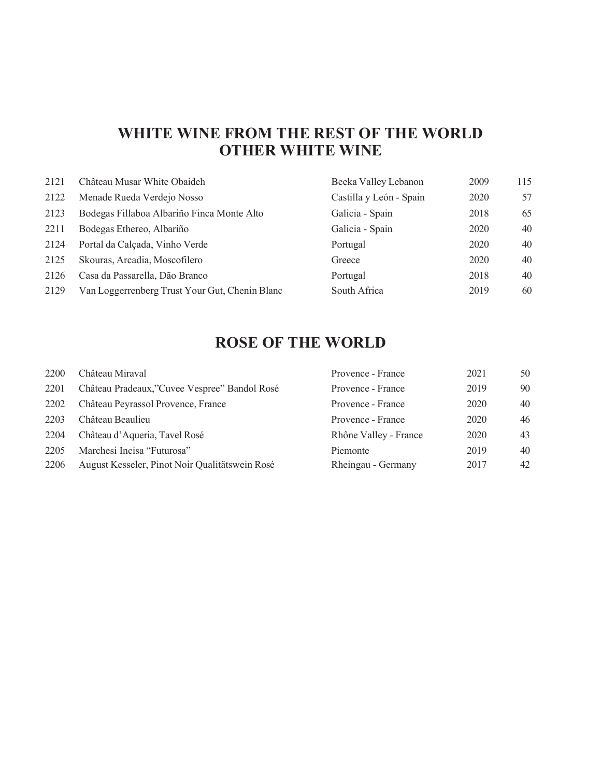### **WHITE WINE FROM THE REST OF THE WORLD OTHER WHITE WINE**

| 2121 | Château Musar White Obaideh                    | Beeka Valley Lebanon    | 2009 | 115 |
|------|------------------------------------------------|-------------------------|------|-----|
| 2122 | Menade Rueda Verdejo Nosso                     | Castilla y León - Spain | 2020 | 57  |
| 2123 | Bodegas Fillaboa Albariño Finca Monte Alto     | Galicia - Spain         | 2018 | 65  |
| 2211 | Bodegas Ethereo, Albariño                      | Galicia - Spain         | 2020 | 40  |
| 2124 | Portal da Calçada, Vinho Verde                 | Portugal                | 2020 | 40  |
| 2125 | Skouras, Arcadia, Moscofilero                  | Greece                  | 2020 | 40  |
| 2126 | Casa da Passarella, Dão Branco                 | Portugal                | 2018 | 40  |
| 2129 | Van Loggerrenberg Trust Your Gut, Chenin Blanc | South Africa            | 2019 | 60  |

## **ROSE OF THE WORLD**

| 2200 | Château Miraval                                | Provence - France     | 2021 | 50 |
|------|------------------------------------------------|-----------------------|------|----|
| 2201 | Château Pradeaux,"Cuvee Vespree" Bandol Rosé   | Provence - France     | 2019 | 90 |
| 2202 | Château Peyrassol Provence, France             | Provence - France     | 2020 | 40 |
| 2203 | Château Beaulieu                               | Provence - France     | 2020 | 46 |
| 2204 | Château d'Aqueria, Tavel Rosé                  | Rhône Valley - France | 2020 | 43 |
| 2205 | Marchesi Incisa "Futurosa"                     | Piemonte              | 2019 | 40 |
| 2206 | August Kesseler, Pinot Noir Qualitätswein Rosé | Rheingau - Germany    | 2017 | 42 |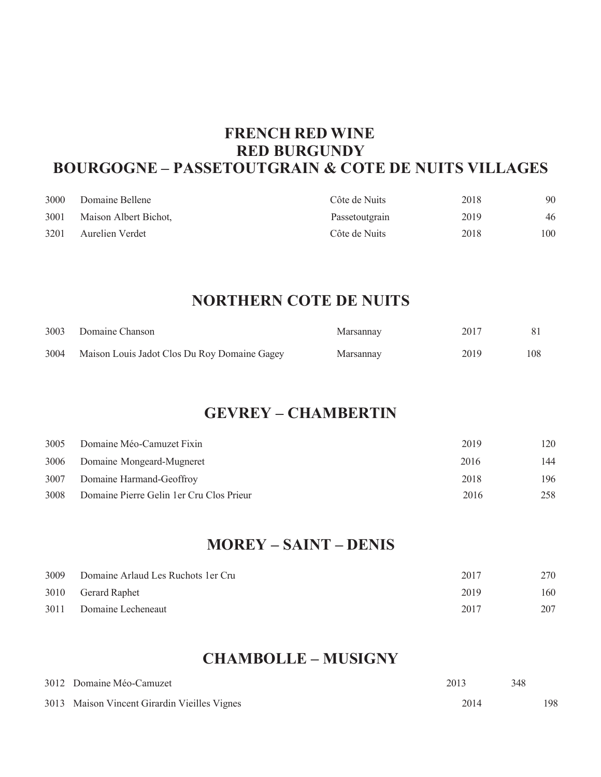### **FRENCH RED WINE RED BURGUNDY BOURGOGNE – PASSETOUTGRAIN & COTE DE NUITS VILLAGES**

| 3000 | Domaine Bellene       | Côte de Nuits  | 2018 | 90  |
|------|-----------------------|----------------|------|-----|
| 3001 | Maison Albert Bichot, | Passetoutgrain | 2019 | 46  |
| 3201 | Aurelien Verdet       | Côte de Nuits  | 2018 | 100 |

### **NORTHERN COTE DE NUITS**

| 3003 | Domaine Chanson                              | Marsannay | 2017 |     |
|------|----------------------------------------------|-----------|------|-----|
| 3004 | Maison Louis Jadot Clos Du Roy Domaine Gagey | Marsannay | 2019 | 108 |

#### **GEVREY – CHAMBERTIN**

| 3005 | Domaine Méo-Camuzet Fixin                 | 2019 | 120 |
|------|-------------------------------------------|------|-----|
| 3006 | Domaine Mongeard-Mugneret                 | 2016 | 144 |
| 3007 | Domaine Harmand-Geoffroy                  | 2018 | 196 |
| 3008 | Domaine Pierre Gelin 1 er Cru Clos Prieur | 2016 | 258 |

### **MOREY – SAINT – DENIS**

| 3009 | Domaine Arlaud Les Ruchots 1 er Cru | 2017 | 270 |
|------|-------------------------------------|------|-----|
|      | 3010 Gerard Raphet                  | 2019 | 160 |
| 3011 | Domaine Lecheneaut                  | 2017 | 207 |

#### **CHAMBOLLE – MUSIGNY**

| 3012 Domaine Méo-Camuzet                     | 2013 | 348 |     |
|----------------------------------------------|------|-----|-----|
| 3013 Maison Vincent Girardin Vieilles Vignes | 2014 |     | 198 |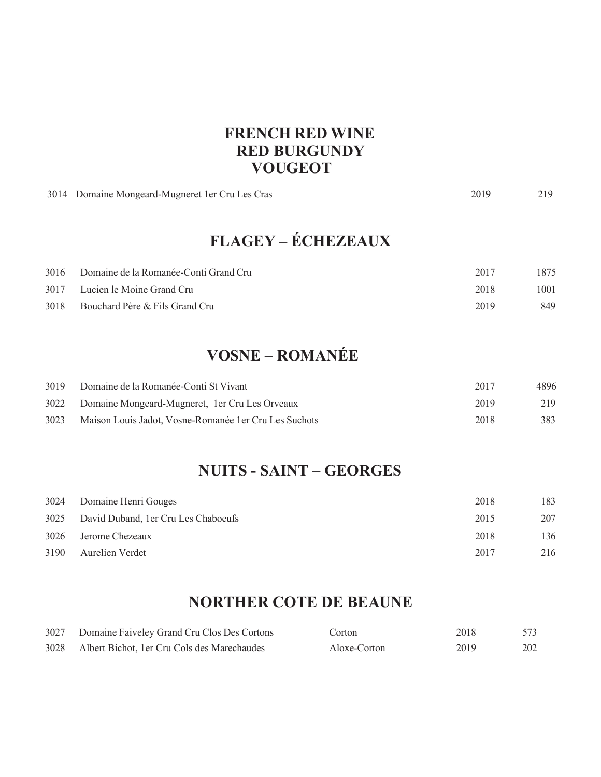#### **FRENCH RED WINE RED BURGUNDY VOUGEOT**

|      | 3014 Domaine Mongeard-Mugneret 1er Cru Les Cras | 2019 | 219  |
|------|-------------------------------------------------|------|------|
|      | <b>FLAGEY – ÉCHEZEAUX</b>                       |      |      |
| 3016 | Domaine de la Romanée-Conti Grand Cru           | 2017 | 1875 |
| 3017 | Lucien le Moine Grand Cru                       | 2018 | 1001 |
| 3018 | Bouchard Père & Fils Grand Cru                  | 2019 | 849  |

## **VOSNE – ROMANÉE**

| 3019 | Domaine de la Romanée-Conti St Vivant                  | 2017 | 4896 |
|------|--------------------------------------------------------|------|------|
| 3022 | Domaine Mongeard-Mugneret, 1 er Cru Les Orveaux        | 2019 | 219  |
| 3023 | Maison Louis Jadot, Vosne-Romanée 1 er Cru Les Suchots | 2018 | 383  |

## **NUITS - SAINT – GEORGES**

| 3024 | Domaine Henri Gouges                 | 2018 | 183 |
|------|--------------------------------------|------|-----|
| 3025 | David Duband, 1 er Cru Les Chaboeufs | 2015 | 207 |
| 3026 | Jerome Chezeaux                      | 2018 | 136 |
| 3190 | Aurelien Verdet                      | 2017 | 216 |

### **NORTHER COTE DE BEAUNE**

| 3027 | Domaine Faiveley Grand Cru Clos Des Cortons  | Corton       | 2018 | 573 |
|------|----------------------------------------------|--------------|------|-----|
| 3028 | Albert Bichot, 1 er Cru Cols des Marechaudes | Aloxe-Corton | 2019 | 202 |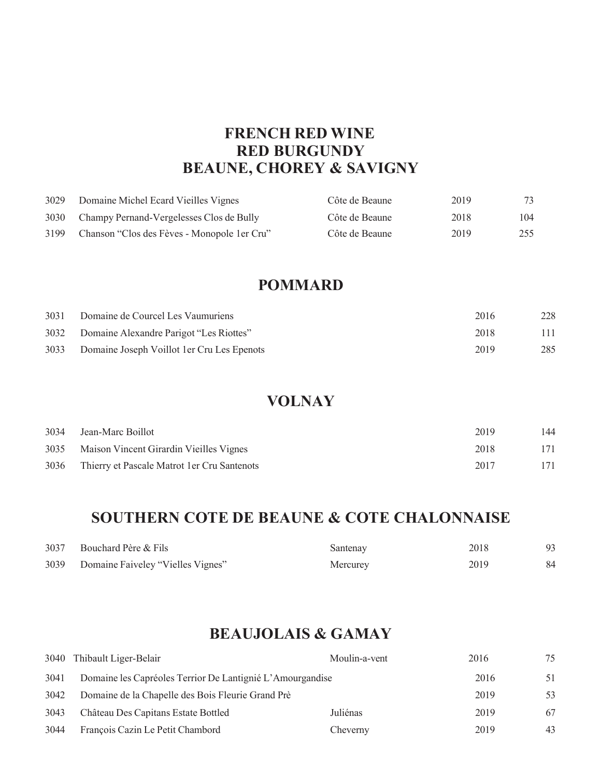### **FRENCH RED WINE RED BURGUNDY BEAUNE, CHOREY & SAVIGNY**

| 3029 | Domaine Michel Ecard Vieilles Vignes         | Côte de Beaune | 2019 | 73  |
|------|----------------------------------------------|----------------|------|-----|
| 3030 | Champy Pernand-Vergelesses Clos de Bully     | Côte de Beaune | 2018 | 104 |
| 3199 | Chanson "Clos des Fèves - Monopole 1 er Cru" | Côte de Beaune | 2019 | 255 |

#### **POMMARD**

| 3031 | Domaine de Courcel Les Vaumuriens           | 2016 | 228 |
|------|---------------------------------------------|------|-----|
| 3032 | Domaine Alexandre Parigot "Les Riottes"     | 2018 | 111 |
| 3033 | Domaine Joseph Voillot 1 er Cru Les Epenots | 2019 | 285 |

#### **VOLNAY**

|      | 3034 Jean-Marc Boillot                       | 2019 | 144 |
|------|----------------------------------------------|------|-----|
|      | 3035 Maison Vincent Girardin Vieilles Vignes | 2018 | 171 |
| 3036 | Thierry et Pascale Matrot 1 er Cru Santenots | 2017 | 171 |

### **SOUTHERN COTE DE BEAUNE & COTE CHALONNAISE**

| 3037 | Bouchard Père & Fils                   | Santenay | 2018 |    |
|------|----------------------------------------|----------|------|----|
|      | 3039 Domaine Faiveley "Vielles Vignes" | Mercurey | 2019 | 84 |

### **BEAUJOLAIS & GAMAY**

|      | 3040 Thibault Liger-Belair                                | Moulin-a-vent | 2016 | 75 |
|------|-----------------------------------------------------------|---------------|------|----|
| 3041 | Domaine les Capréoles Terrior De Lantignié L'Amourgandise |               | 2016 | 51 |
| 3042 | Domaine de la Chapelle des Bois Fleurie Grand Prè         |               | 2019 | 53 |
| 3043 | Château Des Capitans Estate Bottled                       | Juliénas      | 2019 | 67 |
| 3044 | François Cazin Le Petit Chambord                          | Cheverny      | 2019 | 43 |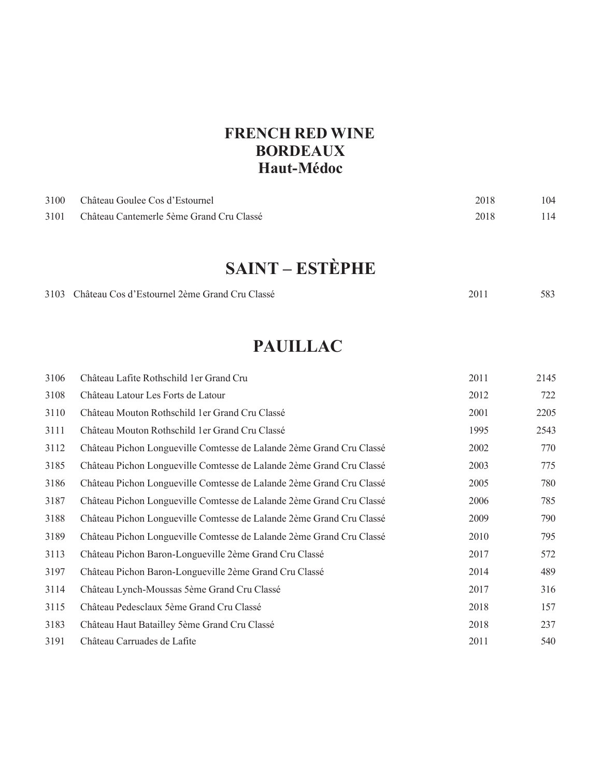### **FRENCH RED WINE BORDEAUX Haut-Médoc**

| 3100 | Château Goulee Cos d'Estournel           | 2018 | 104 |
|------|------------------------------------------|------|-----|
| 3101 | Château Cantemerle 5ème Grand Cru Classé | 2018 | 114 |
|      |                                          |      |     |

# **SAINT – ESTÈPHE**

| 583 |
|-----|
|     |

## **PAUILLAC**

| 3106 | Château Lafite Rothschild 1 er Grand Cru                             | 2011 | 2145 |
|------|----------------------------------------------------------------------|------|------|
| 3108 | Château Latour Les Forts de Latour                                   | 2012 | 722  |
| 3110 | Château Mouton Rothschild 1 er Grand Cru Classé                      | 2001 | 2205 |
| 3111 | Château Mouton Rothschild 1 er Grand Cru Classé                      | 1995 | 2543 |
| 3112 | Château Pichon Longueville Comtesse de Lalande 2ème Grand Cru Classé | 2002 | 770  |
| 3185 | Château Pichon Longueville Comtesse de Lalande 2ème Grand Cru Classé | 2003 | 775  |
| 3186 | Château Pichon Longueville Comtesse de Lalande 2ème Grand Cru Classé | 2005 | 780  |
| 3187 | Château Pichon Longueville Comtesse de Lalande 2ème Grand Cru Classé | 2006 | 785  |
| 3188 | Château Pichon Longueville Comtesse de Lalande 2ème Grand Cru Classé | 2009 | 790  |
| 3189 | Château Pichon Longueville Comtesse de Lalande 2ème Grand Cru Classé | 2010 | 795  |
| 3113 | Château Pichon Baron-Longueville 2ème Grand Cru Classé               | 2017 | 572  |
| 3197 | Château Pichon Baron-Longueville 2ème Grand Cru Classé               | 2014 | 489  |
| 3114 | Château Lynch-Moussas 5ème Grand Cru Classé                          | 2017 | 316  |
| 3115 | Château Pedesclaux 5ème Grand Cru Classé                             | 2018 | 157  |
| 3183 | Château Haut Batailley 5ème Grand Cru Classé                         | 2018 | 237  |
| 3191 | Château Carruades de Lafite                                          | 2011 | 540  |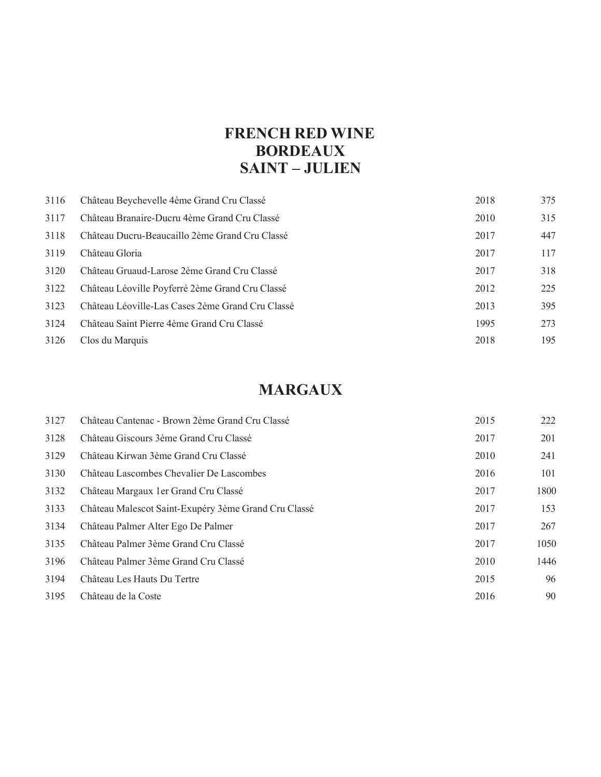### **FRENCH RED WINE BORDEAUX SAINT – JULIEN**

| 3116 | Château Beychevelle 4ème Grand Cru Classé        | 2018 | 375 |
|------|--------------------------------------------------|------|-----|
| 3117 | Château Branaire-Ducru 4ème Grand Cru Classé     | 2010 | 315 |
| 3118 | Château Ducru-Beaucaillo 2ème Grand Cru Classé   | 2017 | 447 |
| 3119 | Château Gloria                                   | 2017 | 117 |
| 3120 | Château Gruaud-Larose 2ème Grand Cru Classé      | 2017 | 318 |
| 3122 | Château Léoville Poyferré 2ème Grand Cru Classé  | 2012 | 225 |
| 3123 | Château Léoville-Las Cases 2ème Grand Cru Classé | 2013 | 395 |
| 3124 | Château Saint Pierre 4ème Grand Cru Classé       | 1995 | 273 |
| 3126 | Clos du Marquis                                  | 2018 | 195 |

## **MARGAUX**

| 3127 | Château Cantenac - Brown 2ème Grand Cru Classé       | 2015 | 222  |
|------|------------------------------------------------------|------|------|
| 3128 | Château Giscours 3ème Grand Cru Classé               | 2017 | 201  |
| 3129 | Château Kirwan 3ème Grand Cru Classé                 | 2010 | 241  |
| 3130 | Château Lascombes Chevalier De Lascombes             | 2016 | 101  |
| 3132 | Château Margaux 1 er Grand Cru Classé                | 2017 | 1800 |
| 3133 | Château Malescot Saint-Exupéry 3ème Grand Cru Classé | 2017 | 153  |
| 3134 | Château Palmer Alter Ego De Palmer                   | 2017 | 267  |
| 3135 | Château Palmer 3ème Grand Cru Classé                 | 2017 | 1050 |
| 3196 | Château Palmer 3ème Grand Cru Classé                 | 2010 | 1446 |
| 3194 | Château Les Hauts Du Tertre                          | 2015 | 96   |
| 3195 | Château de la Coste                                  | 2016 | 90   |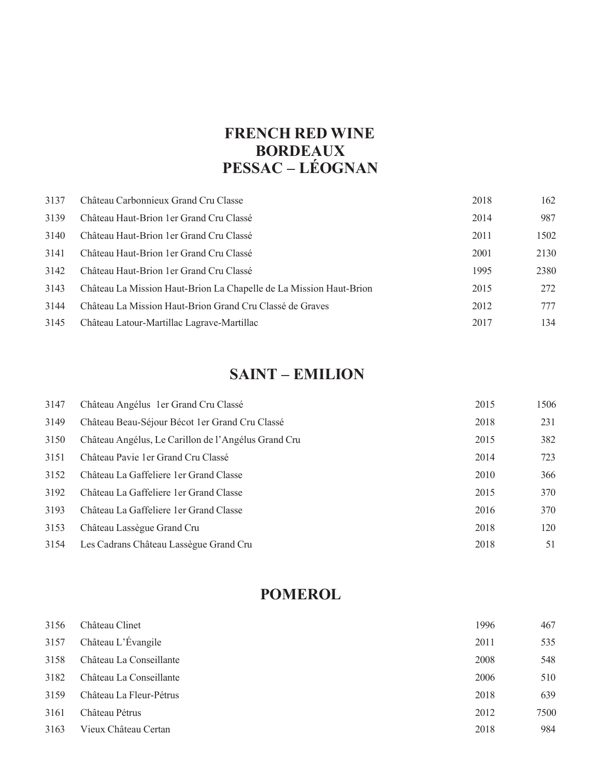## **FRENCH RED WINE BORDEAUX PESSAC – LÉOGNAN**

| 3137 | Château Carbonnieux Grand Cru Classe                               | 2018 | 162  |
|------|--------------------------------------------------------------------|------|------|
| 3139 | Château Haut-Brion 1 er Grand Cru Classé                           | 2014 | 987  |
| 3140 | Château Haut-Brion 1 er Grand Cru Classé                           | 2011 | 1502 |
| 3141 | Château Haut-Brion 1 er Grand Cru Classé                           | 2001 | 2130 |
| 3142 | Château Haut-Brion 1 er Grand Cru Classé                           | 1995 | 2380 |
| 3143 | Château La Mission Haut-Brion La Chapelle de La Mission Haut-Brion | 2015 | 272  |
| 3144 | Château La Mission Haut-Brion Grand Cru Classé de Graves           | 2012 | 777  |
| 3145 | Château Latour-Martillac Lagrave-Martillac                         | 2017 | 134  |

## **SAINT – EMILION**

| 3147 | Château Angélus 1 er Grand Cru Classé               | 2015 | 1506 |
|------|-----------------------------------------------------|------|------|
| 3149 | Château Beau-Séjour Bécot 1 er Grand Cru Classé     | 2018 | 231  |
| 3150 | Château Angélus, Le Carillon de l'Angélus Grand Cru | 2015 | 382  |
| 3151 | Château Pavie 1 er Grand Cru Classé                 | 2014 | 723  |
| 3152 | Château La Gaffeliere 1 er Grand Classe             | 2010 | 366  |
| 3192 | Château La Gaffeliere 1 er Grand Classe             | 2015 | 370  |
| 3193 | Château La Gaffeliere 1 er Grand Classe             | 2016 | 370  |
| 3153 | Château Lassègue Grand Cru                          | 2018 | 120  |
| 3154 | Les Cadrans Château Lassègue Grand Cru              | 2018 | 51   |

### **POMEROL**

| 3156 | Château Clinet          | 1996 | 467  |
|------|-------------------------|------|------|
| 3157 | Château L'Évangile      | 2011 | 535  |
| 3158 | Château La Conseillante | 2008 | 548  |
| 3182 | Château La Conseillante | 2006 | 510  |
| 3159 | Château La Fleur-Pétrus | 2018 | 639  |
| 3161 | Château Pétrus          | 2012 | 7500 |
| 3163 | Vieux Château Certan    | 2018 | 984  |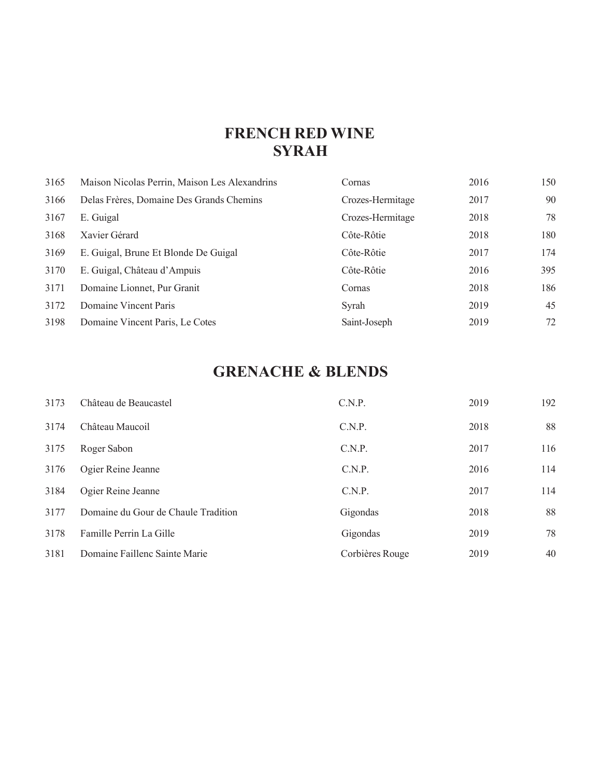## **FRENCH RED WINE SYRAH**

| 3165 | Maison Nicolas Perrin, Maison Les Alexandrins | Cornas           | 2016 | 150 |
|------|-----------------------------------------------|------------------|------|-----|
| 3166 | Delas Frères, Domaine Des Grands Chemins      | Crozes-Hermitage | 2017 | 90  |
| 3167 | E. Guigal                                     | Crozes-Hermitage | 2018 | 78  |
| 3168 | Xavier Gérard                                 | Côte-Rôtie       | 2018 | 180 |
| 3169 | E. Guigal, Brune Et Blonde De Guigal          | Côte-Rôtie       | 2017 | 174 |
| 3170 | E. Guigal, Château d'Ampuis                   | Côte-Rôtie       | 2016 | 395 |
| 3171 | Domaine Lionnet, Pur Granit                   | Cornas           | 2018 | 186 |
| 3172 | Domaine Vincent Paris                         | Syrah            | 2019 | 45  |
| 3198 | Domaine Vincent Paris, Le Cotes               | Saint-Joseph     | 2019 | 72  |

## **GRENACHE & BLENDS**

| 3173 | Château de Beaucastel               | C.N.P.          | 2019 | 192 |
|------|-------------------------------------|-----------------|------|-----|
| 3174 | Château Maucoil                     | C.N.P.          | 2018 | 88  |
| 3175 | Roger Sabon                         | C.N.P.          | 2017 | 116 |
| 3176 | Ogier Reine Jeanne                  | C.N.P.          | 2016 | 114 |
| 3184 | Ogier Reine Jeanne                  | C.N.P.          | 2017 | 114 |
| 3177 | Domaine du Gour de Chaule Tradition | Gigondas        | 2018 | 88  |
| 3178 | Famille Perrin La Gille             | Gigondas        | 2019 | 78  |
| 3181 | Domaine Faillenc Sainte Marie       | Corbières Rouge | 2019 | 40  |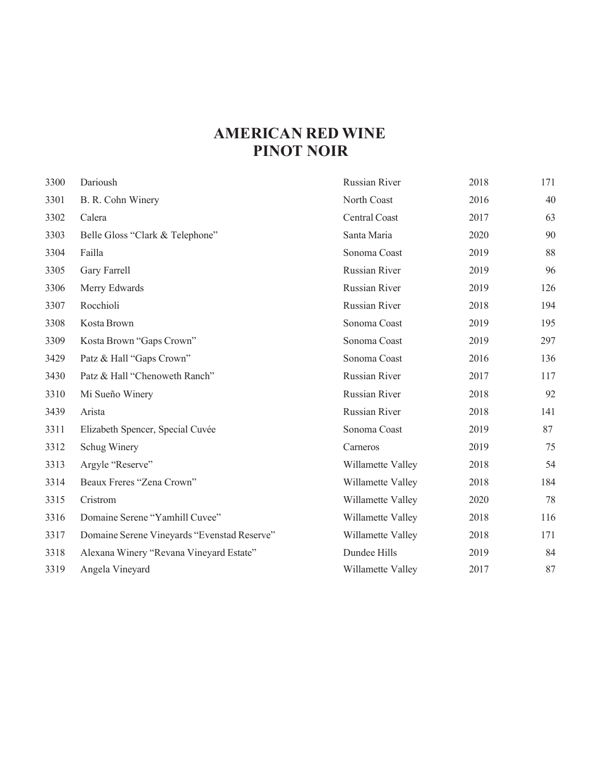## **AMERICAN RED WINE PINOT NOIR**

| 3300 | Darioush                                    | Russian River     | 2018 | 171 |
|------|---------------------------------------------|-------------------|------|-----|
| 3301 | B. R. Cohn Winery                           | North Coast       | 2016 | 40  |
| 3302 | Calera                                      | Central Coast     | 2017 | 63  |
| 3303 | Belle Gloss "Clark & Telephone"             | Santa Maria       | 2020 | 90  |
| 3304 | Failla                                      | Sonoma Coast      | 2019 | 88  |
| 3305 | Gary Farrell                                | Russian River     | 2019 | 96  |
| 3306 | Merry Edwards                               | Russian River     | 2019 | 126 |
| 3307 | Rocchioli                                   | Russian River     | 2018 | 194 |
| 3308 | Kosta Brown                                 | Sonoma Coast      | 2019 | 195 |
| 3309 | Kosta Brown "Gaps Crown"                    | Sonoma Coast      | 2019 | 297 |
| 3429 | Patz & Hall "Gaps Crown"                    | Sonoma Coast      | 2016 | 136 |
| 3430 | Patz & Hall "Chenoweth Ranch"               | Russian River     | 2017 | 117 |
| 3310 | Mi Sueño Winery                             | Russian River     | 2018 | 92  |
| 3439 | Arista                                      | Russian River     | 2018 | 141 |
| 3311 | Elizabeth Spencer, Special Cuvée            | Sonoma Coast      | 2019 | 87  |
| 3312 | Schug Winery                                | Carneros          | 2019 | 75  |
| 3313 | Argyle "Reserve"                            | Willamette Valley | 2018 | 54  |
| 3314 | Beaux Freres "Zena Crown"                   | Willamette Valley | 2018 | 184 |
| 3315 | Cristrom                                    | Willamette Valley | 2020 | 78  |
| 3316 | Domaine Serene "Yamhill Cuvee"              | Willamette Valley | 2018 | 116 |
| 3317 | Domaine Serene Vineyards "Evenstad Reserve" | Willamette Valley | 2018 | 171 |
| 3318 | Alexana Winery "Revana Vineyard Estate"     | Dundee Hills      | 2019 | 84  |
| 3319 | Angela Vineyard                             | Willamette Valley | 2017 | 87  |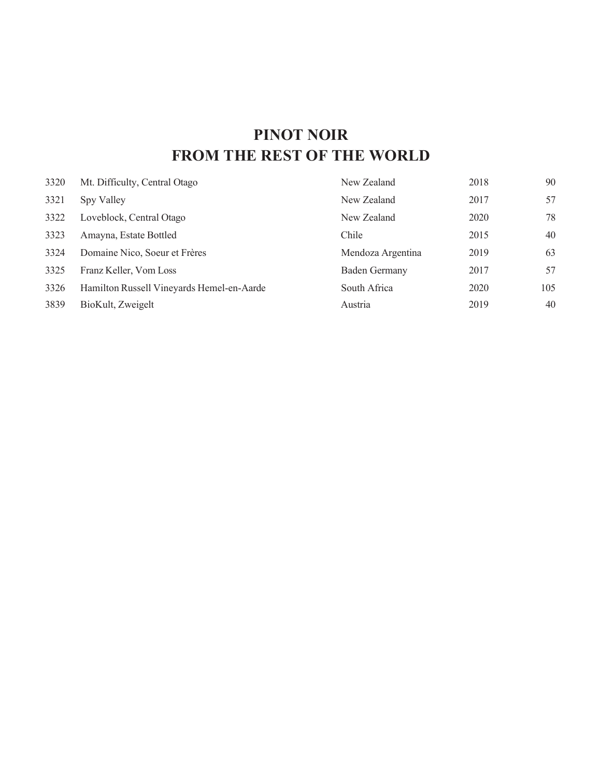## **PINOT NOIR FROM THE REST OF THE WORLD**

| 3320 | Mt. Difficulty, Central Otago             | New Zealand          | 2018 | 90  |
|------|-------------------------------------------|----------------------|------|-----|
| 3321 | Spy Valley                                | New Zealand          | 2017 | 57  |
| 3322 | Loveblock, Central Otago                  | New Zealand          | 2020 | 78  |
| 3323 | Amayna, Estate Bottled                    | Chile                | 2015 | 40  |
| 3324 | Domaine Nico, Soeur et Frères             | Mendoza Argentina    | 2019 | 63  |
| 3325 | Franz Keller, Vom Loss                    | <b>Baden Germany</b> | 2017 | 57  |
| 3326 | Hamilton Russell Vineyards Hemel-en-Aarde | South Africa         | 2020 | 105 |
| 3839 | BioKult, Zweigelt                         | Austria              | 2019 | 40  |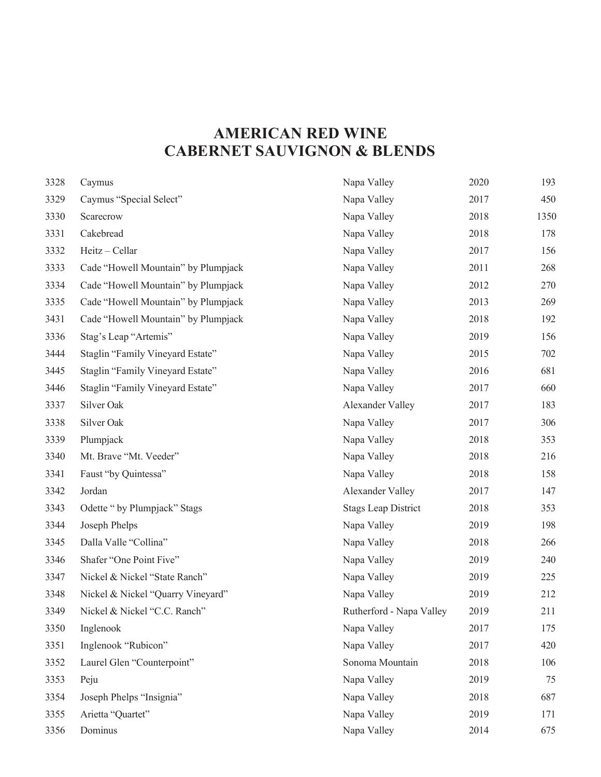## **AMERICAN RED WINE CABERNET SAUVIGNON & BLENDS**

| 3328 | Caymus                              | Napa Valley                | 2020 | 193  |
|------|-------------------------------------|----------------------------|------|------|
| 3329 | Caymus "Special Select"             | Napa Valley                | 2017 | 450  |
| 3330 | Scarecrow                           | Napa Valley                | 2018 | 1350 |
| 3331 | Cakebread                           | Napa Valley                | 2018 | 178  |
| 3332 | Heitz - Cellar                      | Napa Valley                | 2017 | 156  |
| 3333 | Cade "Howell Mountain" by Plumpjack | Napa Valley                | 2011 | 268  |
| 3334 | Cade "Howell Mountain" by Plumpjack | Napa Valley                | 2012 | 270  |
| 3335 | Cade "Howell Mountain" by Plumpjack | Napa Valley                | 2013 | 269  |
| 3431 | Cade "Howell Mountain" by Plumpjack | Napa Valley                | 2018 | 192  |
| 3336 | Stag's Leap "Artemis"               | Napa Valley                | 2019 | 156  |
| 3444 | Staglin "Family Vineyard Estate"    | Napa Valley                | 2015 | 702  |
| 3445 | Staglin "Family Vineyard Estate"    | Napa Valley                | 2016 | 681  |
| 3446 | Staglin "Family Vineyard Estate"    | Napa Valley                | 2017 | 660  |
| 3337 | Silver Oak                          | Alexander Valley           | 2017 | 183  |
| 3338 | Silver Oak                          | Napa Valley                | 2017 | 306  |
| 3339 | Plumpjack                           | Napa Valley                | 2018 | 353  |
| 3340 | Mt. Brave "Mt. Veeder"              | Napa Valley                | 2018 | 216  |
| 3341 | Faust "by Quintessa"                | Napa Valley                | 2018 | 158  |
| 3342 | Jordan                              | Alexander Valley           | 2017 | 147  |
| 3343 | Odette " by Plumpjack" Stags        | <b>Stags Leap District</b> | 2018 | 353  |
| 3344 | Joseph Phelps                       | Napa Valley                | 2019 | 198  |
| 3345 | Dalla Valle "Collina"               | Napa Valley                | 2018 | 266  |
| 3346 | Shafer "One Point Five"             | Napa Valley                | 2019 | 240  |
| 3347 | Nickel & Nickel "State Ranch"       | Napa Valley                | 2019 | 225  |
| 3348 | Nickel & Nickel "Quarry Vineyard"   | Napa Valley                | 2019 | 212  |
| 3349 | Nickel & Nickel "C.C. Ranch"        | Rutherford - Napa Valley   | 2019 | 211  |
| 3350 | Inglenook                           | Napa Valley                | 2017 | 175  |
| 3351 | Inglenook "Rubicon"                 | Napa Valley                | 2017 | 420  |
| 3352 | Laurel Glen "Counterpoint"          | Sonoma Mountain            | 2018 | 106  |
| 3353 | Peju                                | Napa Valley                | 2019 | 75   |
| 3354 | Joseph Phelps "Insignia"            | Napa Valley                | 2018 | 687  |
| 3355 | Arietta "Quartet"                   | Napa Valley                | 2019 | 171  |
| 3356 | Dominus                             | Napa Valley                | 2014 | 675  |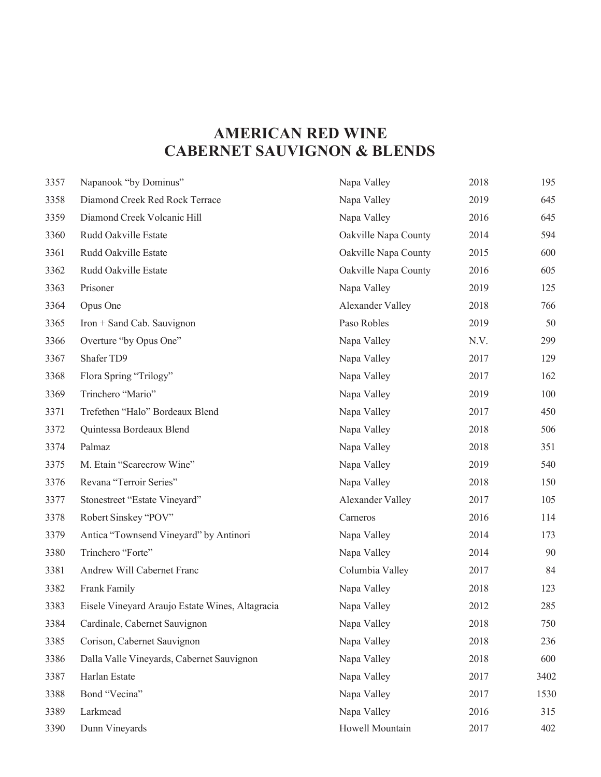## **AMERICAN RED WINE CABERNET SAUVIGNON & BLENDS**

| 3357 | Napanook "by Dominus"                           | Napa Valley          | 2018 | 195  |
|------|-------------------------------------------------|----------------------|------|------|
| 3358 | Diamond Creek Red Rock Terrace                  | Napa Valley          | 2019 | 645  |
| 3359 | Diamond Creek Volcanic Hill                     | Napa Valley          | 2016 | 645  |
| 3360 | Rudd Oakville Estate                            | Oakville Napa County | 2014 | 594  |
| 3361 | Rudd Oakville Estate                            | Oakville Napa County | 2015 | 600  |
| 3362 | Rudd Oakville Estate                            | Oakville Napa County | 2016 | 605  |
| 3363 | Prisoner                                        | Napa Valley          | 2019 | 125  |
| 3364 | Opus One                                        | Alexander Valley     | 2018 | 766  |
| 3365 | Iron + Sand Cab. Sauvignon                      | Paso Robles          | 2019 | 50   |
| 3366 | Overture "by Opus One"                          | Napa Valley          | N.V. | 299  |
| 3367 | Shafer TD9                                      | Napa Valley          | 2017 | 129  |
| 3368 | Flora Spring "Trilogy"                          | Napa Valley          | 2017 | 162  |
| 3369 | Trinchero "Mario"                               | Napa Valley          | 2019 | 100  |
| 3371 | Trefethen "Halo" Bordeaux Blend                 | Napa Valley          | 2017 | 450  |
| 3372 | Quintessa Bordeaux Blend                        | Napa Valley          | 2018 | 506  |
| 3374 | Palmaz                                          | Napa Valley          | 2018 | 351  |
| 3375 | M. Etain "Scarecrow Wine"                       | Napa Valley          | 2019 | 540  |
| 3376 | Revana "Terroir Series"                         | Napa Valley          | 2018 | 150  |
| 3377 | Stonestreet "Estate Vineyard"                   | Alexander Valley     | 2017 | 105  |
| 3378 | Robert Sinskey "POV"                            | Carneros             | 2016 | 114  |
| 3379 | Antica "Townsend Vineyard" by Antinori          | Napa Valley          | 2014 | 173  |
| 3380 | Trinchero "Forte"                               | Napa Valley          | 2014 | 90   |
| 3381 | Andrew Will Cabernet Franc                      | Columbia Valley      | 2017 | 84   |
| 3382 | Frank Family                                    | Napa Valley          | 2018 | 123  |
| 3383 | Eisele Vineyard Araujo Estate Wines, Altagracia | Napa Valley          | 2012 | 285  |
| 3384 | Cardinale, Cabernet Sauvignon                   | Napa Valley          | 2018 | 750  |
| 3385 | Corison, Cabernet Sauvignon                     | Napa Valley          | 2018 | 236  |
| 3386 | Dalla Valle Vineyards, Cabernet Sauvignon       | Napa Valley          | 2018 | 600  |
| 3387 | Harlan Estate                                   | Napa Valley          | 2017 | 3402 |
| 3388 | Bond "Vecina"                                   | Napa Valley          | 2017 | 1530 |
| 3389 | Larkmead                                        | Napa Valley          | 2016 | 315  |
| 3390 | Dunn Vineyards                                  | Howell Mountain      | 2017 | 402  |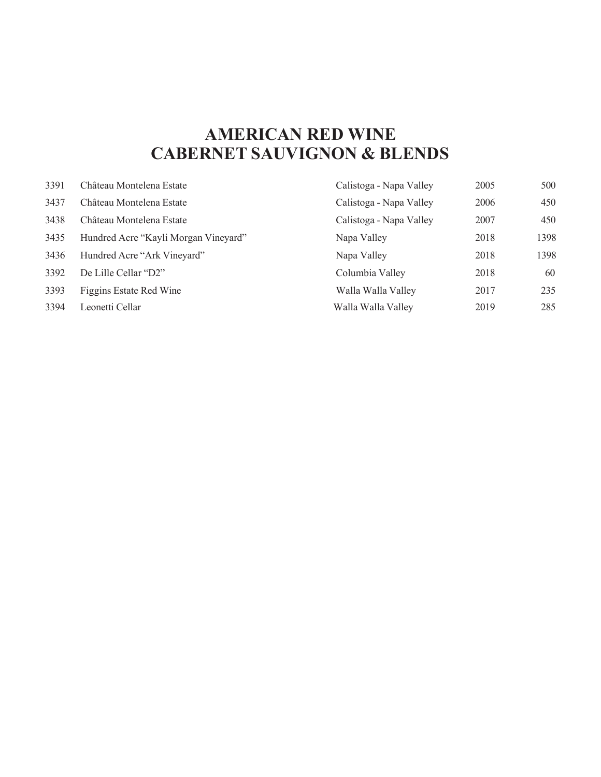## **AMERICAN RED WINE CABERNET SAUVIGNON & BLENDS**

| 3391 | Château Montelena Estate             | Calistoga - Napa Valley | 2005 | 500  |
|------|--------------------------------------|-------------------------|------|------|
| 3437 | Château Montelena Estate             | Calistoga - Napa Valley | 2006 | 450  |
| 3438 | Château Montelena Estate             | Calistoga - Napa Valley | 2007 | 450  |
| 3435 | Hundred Acre "Kayli Morgan Vineyard" | Napa Valley             | 2018 | 1398 |
| 3436 | Hundred Acre "Ark Vineyard"          | Napa Valley             | 2018 | 1398 |
| 3392 | De Lille Cellar "D2"                 | Columbia Valley         | 2018 | 60   |
| 3393 | Figgins Estate Red Wine              | Walla Walla Valley      | 2017 | 235  |
| 3394 | Leonetti Cellar                      | Walla Walla Valley      | 2019 | 285  |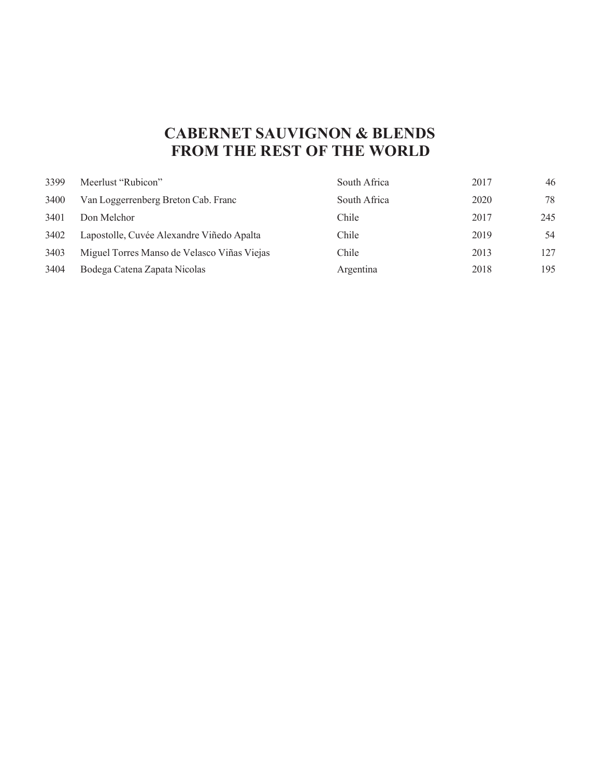## **CABERNET SAUVIGNON & BLENDS FROM THE REST OF THE WORLD**

| 3399 | Meerlust "Rubicon"                          | South Africa | 2017 | 46  |
|------|---------------------------------------------|--------------|------|-----|
| 3400 | Van Loggerrenberg Breton Cab. Franc         | South Africa | 2020 | 78  |
| 3401 | Don Melchor                                 | Chile        | 2017 | 245 |
| 3402 | Lapostolle, Cuvée Alexandre Viñedo Apalta   | Chile        | 2019 | 54  |
| 3403 | Miguel Torres Manso de Velasco Viñas Viejas | Chile        | 2013 | 127 |
| 3404 | Bodega Catena Zapata Nicolas                | Argentina    | 2018 | 195 |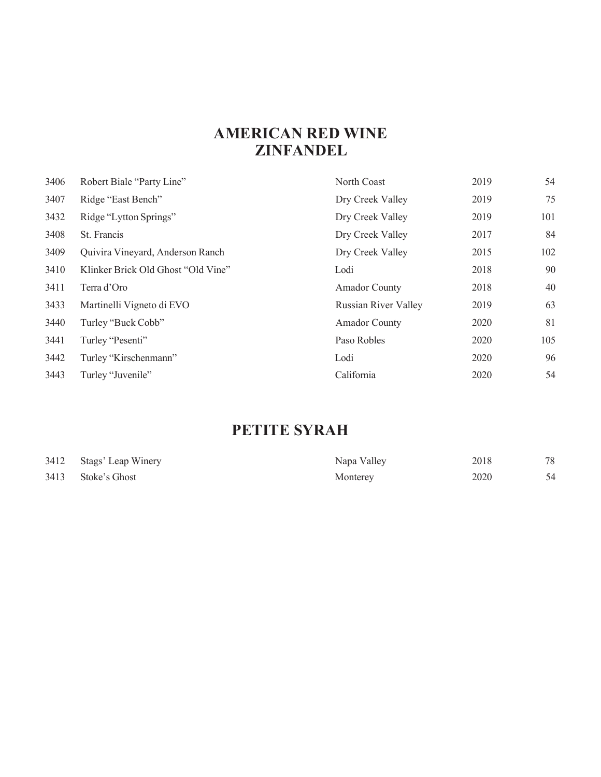## **AMERICAN RED WINE ZINFANDEL**

| 3406 | Robert Biale "Party Line"          | North Coast                 | 2019 | 54  |
|------|------------------------------------|-----------------------------|------|-----|
| 3407 | Ridge "East Bench"                 | Dry Creek Valley            | 2019 | 75  |
| 3432 | Ridge "Lytton Springs"             | Dry Creek Valley            | 2019 | 101 |
| 3408 | St. Francis                        | Dry Creek Valley            | 2017 | 84  |
| 3409 | Quivira Vineyard, Anderson Ranch   | Dry Creek Valley            | 2015 | 102 |
| 3410 | Klinker Brick Old Ghost "Old Vine" | Lodi                        | 2018 | 90  |
| 3411 | Terra d'Oro                        | <b>Amador County</b>        | 2018 | 40  |
| 3433 | Martinelli Vigneto di EVO          | <b>Russian River Valley</b> | 2019 | 63  |
| 3440 | Turley "Buck Cobb"                 | <b>Amador County</b>        | 2020 | 81  |
| 3441 | Turley "Pesenti"                   | Paso Robles                 | 2020 | 105 |
| 3442 | Turley "Kirschenmann"              | Lodi                        | 2020 | 96  |
| 3443 | Turley "Juvenile"                  | California                  | 2020 | 54  |

## **PETITE SYRAH**

| 3412 Stags' Leap Winery | Napa Valley | 2018 | 78 |
|-------------------------|-------------|------|----|
| 3413 Stoke's Ghost      | Monterey    | 2020 | 54 |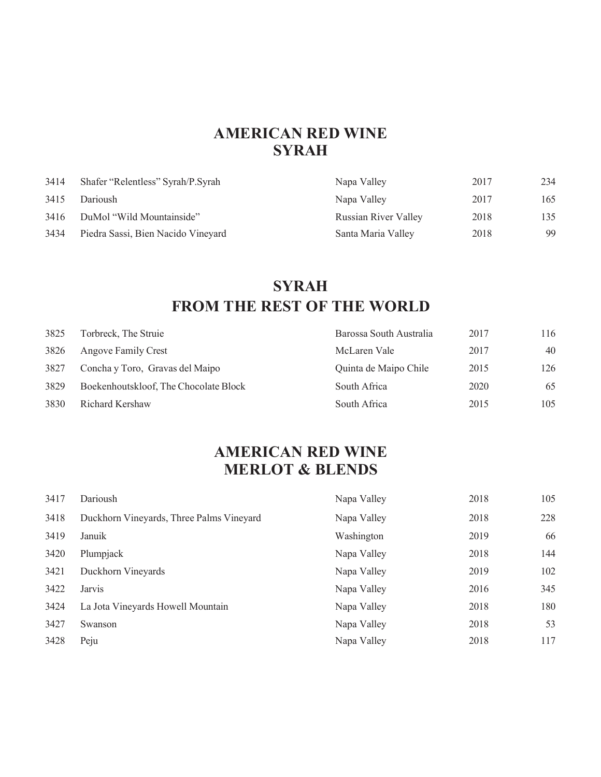#### **AMERICAN RED WINE SYRAH**

| 3414 | Shafer "Relentless" Syrah/P.Syrah  | Napa Valley                 | 2017 | 234 |
|------|------------------------------------|-----------------------------|------|-----|
| 3415 | Darioush                           | Napa Valley                 | 2017 | 165 |
| 3416 | DuMol "Wild Mountainside"          | <b>Russian River Valley</b> | 2018 | 135 |
| 3434 | Piedra Sassi, Bien Nacido Vineyard | Santa Maria Valley          | 2018 | 99  |

## **SYRAH FROM THE REST OF THE WORLD**

| 3825 | Torbreck, The Struie                  | Barossa South Australia | 2017 | 116 |
|------|---------------------------------------|-------------------------|------|-----|
| 3826 | Angove Family Crest                   | McLaren Vale            | 2017 | 40  |
| 3827 | Concha y Toro, Gravas del Maipo       | Quinta de Maipo Chile   | 2015 | 126 |
| 3829 | Boekenhoutskloof, The Chocolate Block | South Africa            | 2020 | 65  |
| 3830 | Richard Kershaw                       | South Africa            | 2015 | 105 |

## **MERLOT & BLENDS AMERICAN RED WINE**

| 3417 | Darioush                                 | Napa Valley | 2018 | 105 |
|------|------------------------------------------|-------------|------|-----|
| 3418 | Duckhorn Vineyards, Three Palms Vineyard | Napa Valley | 2018 | 228 |
| 3419 | Januik                                   | Washington  | 2019 | 66  |
| 3420 | Plumpjack                                | Napa Valley | 2018 | 144 |
| 3421 | Duckhorn Vineyards                       | Napa Valley | 2019 | 102 |
| 3422 | Jarvis                                   | Napa Valley | 2016 | 345 |
| 3424 | La Jota Vineyards Howell Mountain        | Napa Valley | 2018 | 180 |
| 3427 | Swanson                                  | Napa Valley | 2018 | 53  |
| 3428 | Peju                                     | Napa Valley | 2018 | 117 |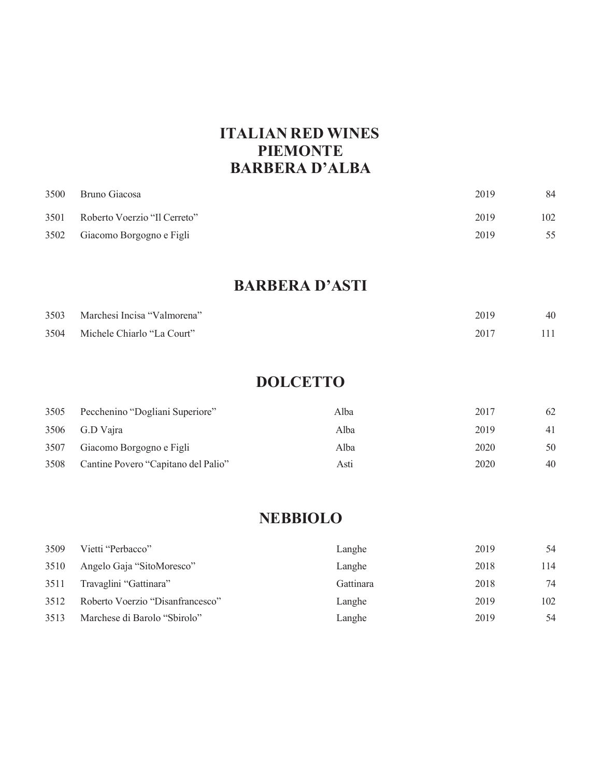### **ITALIAN RED WINES PIEMONTE BARBERA D'ALBA**

| 3500 | Bruno Giacosa                 | 2019 | 84  |
|------|-------------------------------|------|-----|
| 3501 | Roberto Voerzio "Il Cerreto"  | 2019 | 102 |
|      | 3502 Giacomo Borgogno e Figli | 2019 | 55  |

#### **BARBERA D'ASTI**

| 3503 Marchesi Incisa "Valmorena" | 2019 | 40  |
|----------------------------------|------|-----|
| 3504 Michele Chiarlo "La Court"  | 2017 | 111 |

### **DOLCETTO**

| 3505 | Pecchenino "Dogliani Superiore"     | Alba | 2017 | 62 |
|------|-------------------------------------|------|------|----|
| 3506 | G.D Vaira                           | Alba | 2019 | 41 |
| 3507 | Giacomo Borgogno e Figli            | Alba | 2020 | 50 |
| 3508 | Cantine Povero "Capitano del Palio" | Asti | 2020 | 40 |

#### **NEBBIOLO**

| 3509 | Vietti "Perbacco"                | Langhe    | 2019 | 54  |
|------|----------------------------------|-----------|------|-----|
| 3510 | Angelo Gaja "SitoMoresco"        | Langhe    | 2018 | 114 |
| 3511 | Travaglini "Gattinara"           | Gattinara | 2018 | 74  |
| 3512 | Roberto Voerzio "Disanfrancesco" | Langhe    | 2019 | 102 |
| 3513 | Marchese di Barolo "Sbirolo"     | Langhe    | 2019 | 54  |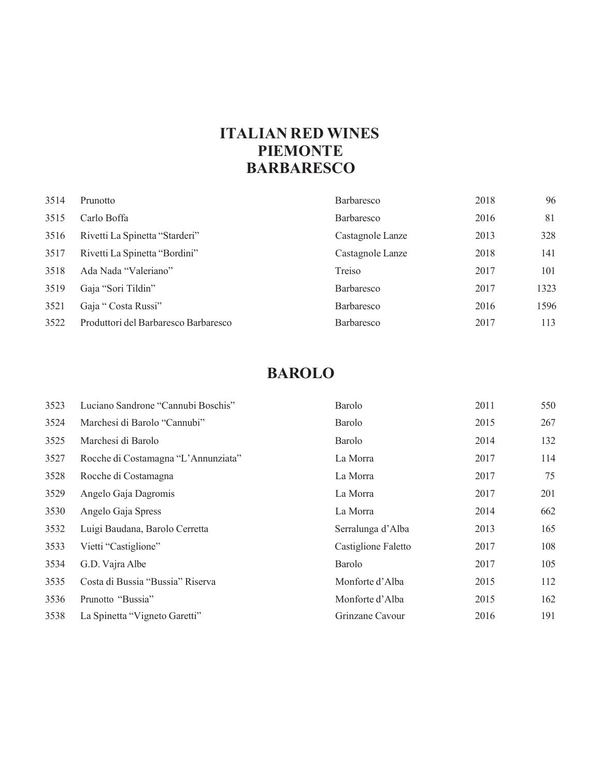### **ITALIAN RED WINES PIEMONTE BARBARESCO**

| 3514 | Prunotto                             | <b>Barbaresco</b> | 2018 | 96   |
|------|--------------------------------------|-------------------|------|------|
| 3515 | Carlo Boffa                          | <b>Barbaresco</b> | 2016 | 81   |
| 3516 | Rivetti La Spinetta "Starderi"       | Castagnole Lanze  | 2013 | 328  |
| 3517 | Rivetti La Spinetta "Bordini"        | Castagnole Lanze  | 2018 | 141  |
| 3518 | Ada Nada "Valeriano"                 | Treiso            | 2017 | 101  |
| 3519 | Gaja "Sori Tildin"                   | Barbaresco        | 2017 | 1323 |
| 3521 | Gaja "Costa Russi"                   | Barbaresco        | 2016 | 1596 |
| 3522 | Produttori del Barbaresco Barbaresco | <b>Barbaresco</b> | 2017 | 113  |

### **BAROLO**

| 3523 | Luciano Sandrone "Cannubi Boschis"  | <b>Barolo</b>       | 2011 | 550 |
|------|-------------------------------------|---------------------|------|-----|
| 3524 | Marchesi di Barolo "Cannubi"        | Barolo              | 2015 | 267 |
| 3525 | Marchesi di Barolo                  | Barolo              | 2014 | 132 |
| 3527 | Rocche di Costamagna "L'Annunziata" | La Morra            | 2017 | 114 |
| 3528 | Rocche di Costamagna                | La Morra            | 2017 | 75  |
| 3529 | Angelo Gaja Dagromis                | La Morra            | 2017 | 201 |
| 3530 | Angelo Gaja Spress                  | La Morra            | 2014 | 662 |
| 3532 | Luigi Baudana, Barolo Cerretta      | Serralunga d'Alba   | 2013 | 165 |
| 3533 | Vietti "Castiglione"                | Castiglione Faletto | 2017 | 108 |
| 3534 | G.D. Vajra Albe                     | <b>Barolo</b>       | 2017 | 105 |
| 3535 | Costa di Bussia "Bussia" Riserva    | Monforte d'Alba     | 2015 | 112 |
| 3536 | Prunotto "Bussia"                   | Monforte d'Alba     | 2015 | 162 |
| 3538 | La Spinetta "Vigneto Garetti"       | Grinzane Cavour     | 2016 | 191 |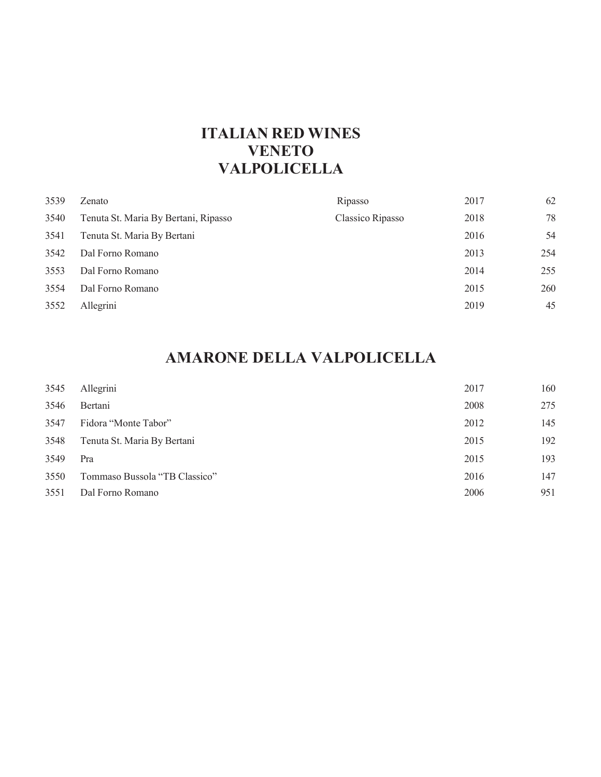#### **ITALIAN RED WINES VENETO VALPOLICELLA**

| 3539 | Zenato                               | Ripasso          | 2017 | 62  |
|------|--------------------------------------|------------------|------|-----|
| 3540 | Tenuta St. Maria By Bertani, Ripasso | Classico Ripasso | 2018 | 78  |
| 3541 | Tenuta St. Maria By Bertani          |                  | 2016 | 54  |
| 3542 | Dal Forno Romano                     |                  | 2013 | 254 |
| 3553 | Dal Forno Romano                     |                  | 2014 | 255 |
| 3554 | Dal Forno Romano                     |                  | 2015 | 260 |
| 3552 | Allegrini                            |                  | 2019 | 45  |
|      |                                      |                  |      |     |

## **AMARONE DELLA VALPOLICELLA**

| 3545 | Allegrini                     | 2017 | 160 |
|------|-------------------------------|------|-----|
| 3546 | Bertani                       | 2008 | 275 |
| 3547 | Fidora "Monte Tabor"          | 2012 | 145 |
| 3548 | Tenuta St. Maria By Bertani   | 2015 | 192 |
| 3549 | Pra                           | 2015 | 193 |
| 3550 | Tommaso Bussola "TB Classico" | 2016 | 147 |
| 3551 | Dal Forno Romano              | 2006 | 951 |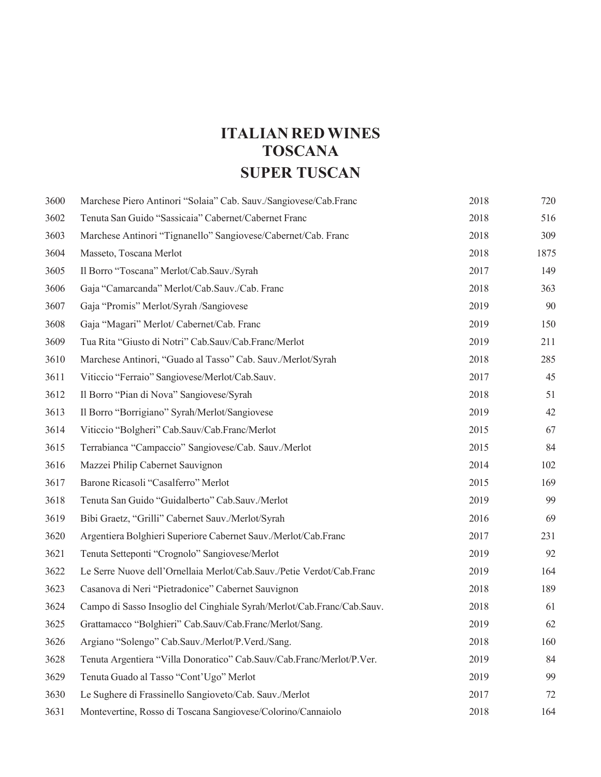## **ITALIAN RED WINES TOSCANA SUPER TUSCAN**

| 3600 | Marchese Piero Antinori "Solaia" Cab. Sauv./Sangiovese/Cab.Franc       | 2018 | 720  |
|------|------------------------------------------------------------------------|------|------|
| 3602 | Tenuta San Guido "Sassicaia" Cabernet/Cabernet Franc                   | 2018 | 516  |
| 3603 | Marchese Antinori "Tignanello" Sangiovese/Cabernet/Cab. Franc          | 2018 | 309  |
| 3604 | Masseto, Toscana Merlot                                                | 2018 | 1875 |
| 3605 | Il Borro "Toscana" Merlot/Cab.Sauv./Syrah                              | 2017 | 149  |
| 3606 | Gaja "Camarcanda" Merlot/Cab.Sauv./Cab. Franc                          | 2018 | 363  |
| 3607 | Gaja "Promis" Merlot/Syrah /Sangiovese                                 | 2019 | 90   |
| 3608 | Gaja "Magari" Merlot/ Cabernet/Cab. Franc                              | 2019 | 150  |
| 3609 | Tua Rita "Giusto di Notri" Cab.Sauv/Cab.Franc/Merlot                   | 2019 | 211  |
| 3610 | Marchese Antinori, "Guado al Tasso" Cab. Sauv./Merlot/Syrah            | 2018 | 285  |
| 3611 | Viticcio "Ferraio" Sangiovese/Merlot/Cab.Sauv.                         | 2017 | 45   |
| 3612 | Il Borro "Pian di Nova" Sangiovese/Syrah                               | 2018 | 51   |
| 3613 | Il Borro "Borrigiano" Syrah/Merlot/Sangiovese                          | 2019 | 42   |
| 3614 | Viticcio "Bolgheri" Cab.Sauv/Cab.Franc/Merlot                          | 2015 | 67   |
| 3615 | Terrabianca "Campaccio" Sangiovese/Cab. Sauv./Merlot                   | 2015 | 84   |
| 3616 | Mazzei Philip Cabernet Sauvignon                                       | 2014 | 102  |
| 3617 | Barone Ricasoli "Casalferro" Merlot                                    | 2015 | 169  |
| 3618 | Tenuta San Guido "Guidalberto" Cab.Sauv./Merlot                        | 2019 | 99   |
| 3619 | Bibi Graetz, "Grilli" Cabernet Sauv./Merlot/Syrah                      | 2016 | 69   |
| 3620 | Argentiera Bolghieri Superiore Cabernet Sauv./Merlot/Cab.Franc         | 2017 | 231  |
| 3621 | Tenuta Setteponti "Crognolo" Sangiovese/Merlot                         | 2019 | 92   |
| 3622 | Le Serre Nuove dell'Ornellaia Merlot/Cab.Sauv./Petie Verdot/Cab.Franc  | 2019 | 164  |
| 3623 | Casanova di Neri "Pietradonice" Cabernet Sauvignon                     | 2018 | 189  |
| 3624 | Campo di Sasso Insoglio del Cinghiale Syrah/Merlot/Cab.Franc/Cab.Sauv. | 2018 | 61   |
| 3625 | Grattamacco "Bolghieri" Cab.Sauv/Cab.Franc/Merlot/Sang.                | 2019 | 62   |
| 3626 | Argiano "Solengo" Cab.Sauv./Merlot/P.Verd./Sang.                       | 2018 | 160  |
| 3628 | Tenuta Argentiera "Villa Donoratico" Cab.Sauv/Cab.Franc/Merlot/P.Ver.  | 2019 | 84   |
| 3629 | Tenuta Guado al Tasso "Cont'Ugo" Merlot                                | 2019 | 99   |
| 3630 | Le Sughere di Frassinello Sangioveto/Cab. Sauv./Merlot                 | 2017 | 72   |
| 3631 | Montevertine, Rosso di Toscana Sangiovese/Colorino/Cannaiolo           | 2018 | 164  |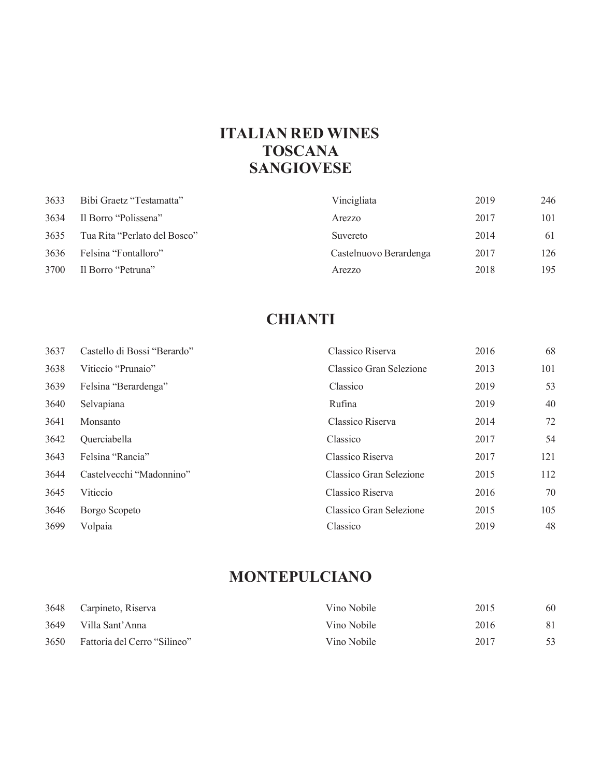### **ITALIAN RED WINES TOSCANA SANGIOVESE**

| 3633 | Bibi Graetz "Testamatta"     | Vincigliata            | 2019 | 246 |
|------|------------------------------|------------------------|------|-----|
| 3634 | Il Borro "Polissena"         | Arezzo                 | 2017 | 101 |
| 3635 | Tua Rita "Perlato del Bosco" | Suvereto               | 2014 | 61  |
| 3636 | Felsina "Fontalloro"         | Castelnuovo Berardenga | 2017 | 126 |
| 3700 | Il Borro "Petruna"           | Arezzo                 | 2018 | 195 |

## **CHIANTI**

| 3637 | Castello di Bossi "Berardo" | Classico Riserva        | 2016 | 68  |
|------|-----------------------------|-------------------------|------|-----|
| 3638 | Viticcio "Prunaio"          | Classico Gran Selezione | 2013 | 101 |
| 3639 | Felsina "Berardenga"        | Classico                | 2019 | 53  |
| 3640 | Selvapiana                  | Rufina                  | 2019 | 40  |
| 3641 | Monsanto                    | Classico Riserva        | 2014 | 72  |
| 3642 | Querciabella                | Classico                | 2017 | 54  |
| 3643 | Felsina "Rancia"            | Classico Riserva        | 2017 | 121 |
| 3644 | Castelvecchi "Madonnino"    | Classico Gran Selezione | 2015 | 112 |
| 3645 | Viticcio                    | Classico Riserva        | 2016 | 70  |
| 3646 | Borgo Scopeto               | Classico Gran Selezione | 2015 | 105 |
| 3699 | Volpaia                     | Classico                | 2019 | 48  |
|      |                             |                         |      |     |

### **MONTEPULCIANO**

|      | 3648 Carpineto, Riserva      | Vino Nobile | 2015 | 60 |
|------|------------------------------|-------------|------|----|
| 3649 | Villa Sant'Anna              | Vino Nobile | 2016 |    |
| 3650 | Fattoria del Cerro "Silineo" | Vino Nobile | 2017 |    |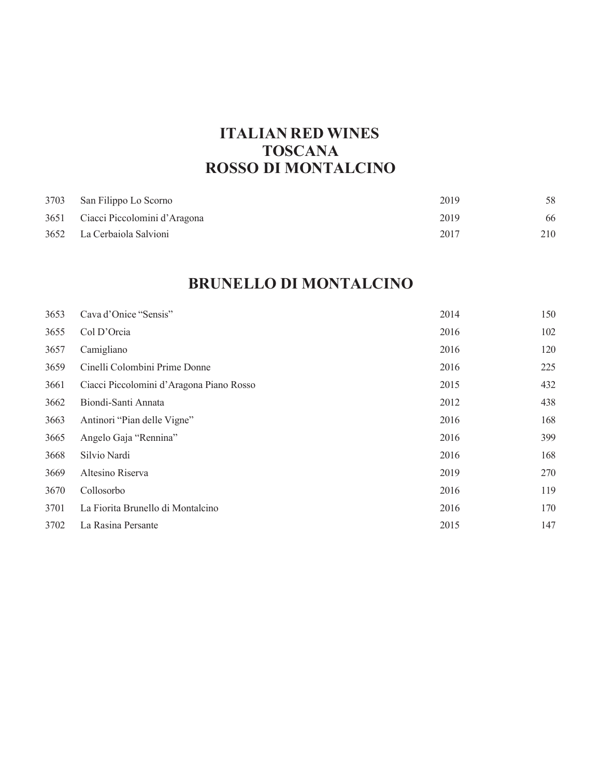## **ITALIAN RED WINES TOSCANA ROSSO DI MONTALCINO**

| 3703 | San Filippo Lo Scorno        | 2019 | 58  |
|------|------------------------------|------|-----|
| 3651 | Ciacci Piccolomini d'Aragona | 2019 | 66  |
|      | 3652 La Cerbaiola Salvioni   | 2017 | 210 |

## **BRUNELLO DI MONTALCINO**

| 3653 | Cava d'Onice "Sensis"                    | 2014 | 150 |
|------|------------------------------------------|------|-----|
| 3655 | Col D'Orcia                              | 2016 | 102 |
| 3657 | Camigliano                               | 2016 | 120 |
| 3659 | Cinelli Colombini Prime Donne            | 2016 | 225 |
| 3661 | Ciacci Piccolomini d'Aragona Piano Rosso | 2015 | 432 |
| 3662 | Biondi-Santi Annata                      | 2012 | 438 |
| 3663 | Antinori "Pian delle Vigne"              | 2016 | 168 |
| 3665 | Angelo Gaja "Rennina"                    | 2016 | 399 |
| 3668 | Silvio Nardi                             | 2016 | 168 |
| 3669 | Altesino Riserva                         | 2019 | 270 |
| 3670 | Collosorbo                               | 2016 | 119 |
| 3701 | La Fiorita Brunello di Montalcino        | 2016 | 170 |
| 3702 | La Rasina Persante                       | 2015 | 147 |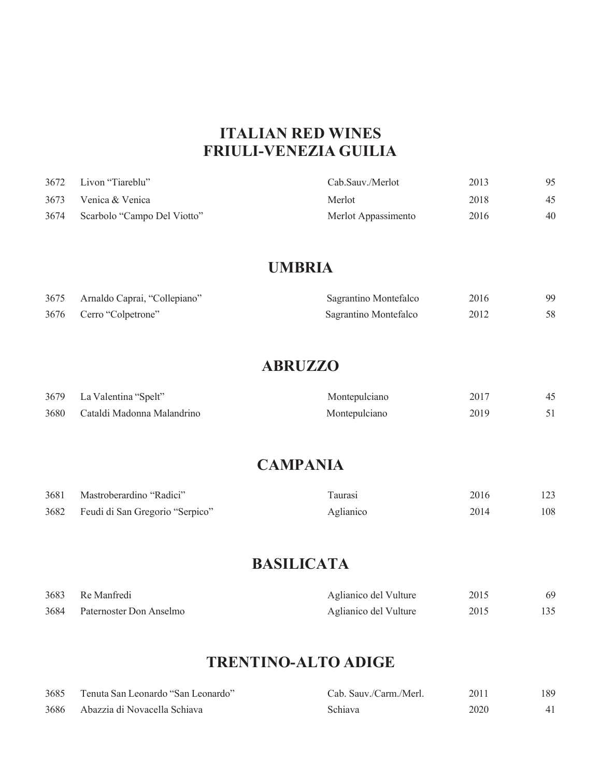### **ITALIAN RED WINES FRIULI-VENEZIAGUILIA**

| 3672 | Livon "Tiareblu"            | Cab.Sauv./Merlot    | 2013 | 95 |
|------|-----------------------------|---------------------|------|----|
| 3673 | Venica & Venica             | Merlot              | 2018 | 45 |
| 3674 | Scarbolo "Campo Del Viotto" | Merlot Appassimento | 2016 | 40 |

#### **UMBRIA**

| 3675 | Arnaldo Caprai, "Collepiano" | Sagrantino Montefalco | 2016 | 99 |
|------|------------------------------|-----------------------|------|----|
|      | 3676 Cerro "Colpetrone"      | Sagrantino Montefalco | 2012 |    |

#### **ABRUZZO**

|      | 3679 La Valentina "Spelt"  | Montepulciano | 2017 |  |
|------|----------------------------|---------------|------|--|
| 3680 | Cataldi Madonna Malandrino | Montepulciano | 2019 |  |

#### **CAMPANIA**

| 3681 | Mastroberardino "Radici"             | Taurasi   | 2016 | 123 |
|------|--------------------------------------|-----------|------|-----|
|      | 3682 Feudi di San Gregorio "Serpico" | Aglianico | 2014 | 108 |

## **BASILICATA**

| 3683 | Re Manfredi             | Aglianico del Vulture | 2015 |  |
|------|-------------------------|-----------------------|------|--|
| 3684 | Paternoster Don Anselmo | Aglianico del Vulture | 2015 |  |

## **TRENTINO-ALTO ADIGE**

| 3685 | Tenuta San Leonardo "San Leonardo" | Cab. Sauv./Carm./Merl. | 2011 | 189 |
|------|------------------------------------|------------------------|------|-----|
|      | 3686 Abazzia di Novacella Schiava  | Schiava                | 2020 |     |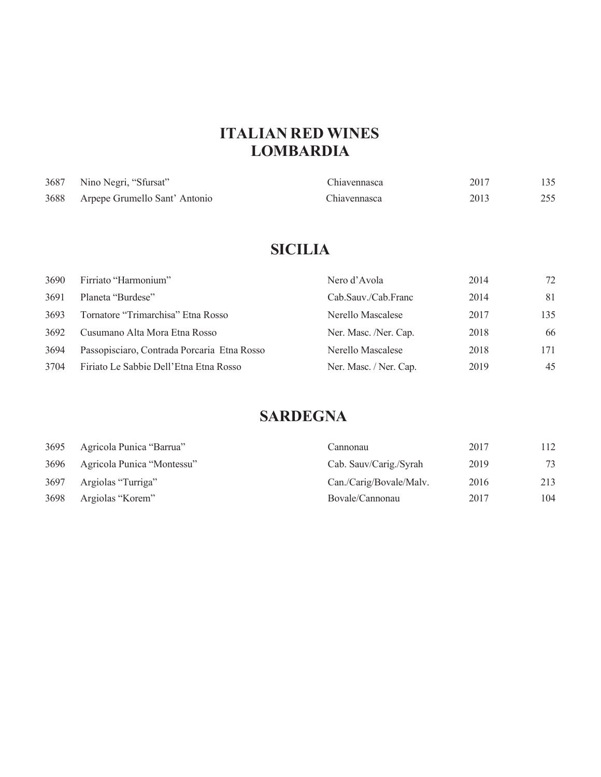## **ITALIAN RED WINES LOMBARDIA**

| 3687 | Nino Negri, "Sfursat"              | Chiavennasca | 2017 | 135 |
|------|------------------------------------|--------------|------|-----|
|      | 3688 Arpepe Grumello Sant' Antonio | Chiavennasca | 2013 | 255 |

## **SICILIA**

| 3690 | Firriato "Harmonium"                        | Nero d'Avola           | 2014 | 72  |
|------|---------------------------------------------|------------------------|------|-----|
| 3691 | Planeta "Burdese"                           | Cab.Sauv./Cab.Franc    | 2014 | 81  |
| 3693 | Tornatore "Trimarchisa" Etna Rosso          | Nerello Mascalese      | 2017 | 135 |
| 3692 | Cusumano Alta Mora Etna Rosso               | Ner. Masc. /Ner. Cap.  | 2018 | 66  |
| 3694 | Passopisciaro, Contrada Porcaria Etna Rosso | Nerello Mascalese      | 2018 | 171 |
| 3704 | Firiato Le Sabbie Dell'Etna Etna Rosso      | Ner. Masc. / Ner. Cap. | 2019 | 45  |

## **SARDEGNA**

| 3695 | Agricola Punica "Barrua"   | Cannonau                | 2017 | 112 |
|------|----------------------------|-------------------------|------|-----|
| 3696 | Agricola Punica "Montessu" | Cab. Sauv/Carig./Syrah  | 2019 | 73  |
| 3697 | Argiolas "Turriga"         | Can./Carig/Bovale/Maly. | 2016 | 213 |
| 3698 | Argiolas "Korem"           | Bovale/Cannonau         | 2017 | 104 |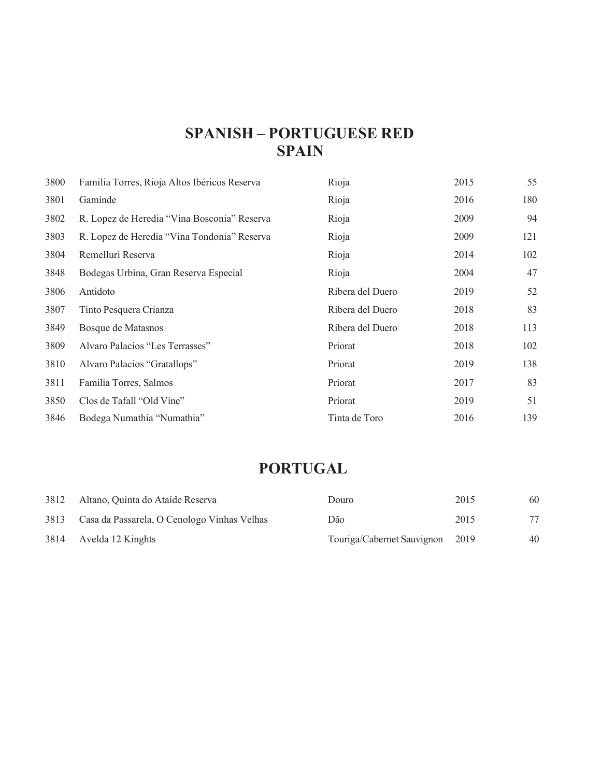## **SPANISH – PORTUGUESE RED SPAIN**

| 3800 | Familia Torres, Rioja Altos Ibéricos Reserva | Rioja            | 2015 | 55  |
|------|----------------------------------------------|------------------|------|-----|
| 3801 | Gaminde                                      | Rioja            | 2016 | 180 |
| 3802 | R. Lopez de Heredia "Vina Bosconia" Reserva  | Rioja            | 2009 | 94  |
| 3803 | R. Lopez de Heredia "Vina Tondonia" Reserva  | Rioja            | 2009 | 121 |
| 3804 | Remelluri Reserva                            | Rioja            | 2014 | 102 |
| 3848 | Bodegas Urbina, Gran Reserva Especial        | Rioja            | 2004 | 47  |
| 3806 | Antidoto                                     | Ribera del Duero | 2019 | 52  |
| 3807 | Tinto Pesquera Crianza                       | Ribera del Duero | 2018 | 83  |
| 3849 | Bosque de Matasnos                           | Ribera del Duero | 2018 | 113 |
| 3809 | Alvaro Palacios "Les Terrasses"              | Priorat          | 2018 | 102 |
| 3810 | Alvaro Palacios "Gratallops"                 | Priorat          | 2019 | 138 |
| 3811 | Familia Torres, Salmos                       | Priorat          | 2017 | 83  |
| 3850 | Clos de Tafall "Old Vine"                    | Priorat          | 2019 | 51  |
| 3846 | Bodega Numathia "Numathia"                   | Tinta de Toro    | 2016 | 139 |

## **PORTUGAL**

| 3812 | Altano, Quinta do Ataíde Reserva            | Douro                           | 2015 | 60 |
|------|---------------------------------------------|---------------------------------|------|----|
| 3813 | Casa da Passarela, O Cenologo Vinhas Velhas | Dão                             | 2015 | 77 |
|      | 3814 Avelda 12 Kinghts                      | Touriga/Cabernet Sauvignon 2019 |      | 40 |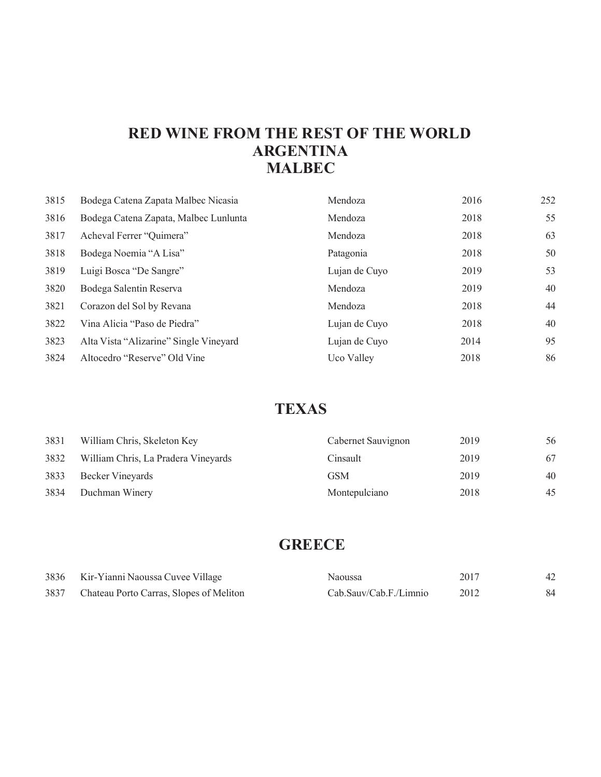### **RED WINE FROM THE REST OF THE WORLD ARGENTINA MALBEC**

| 3815 | Bodega Catena Zapata Malbec Nicasia    | Mendoza       | 2016 | 252 |
|------|----------------------------------------|---------------|------|-----|
| 3816 | Bodega Catena Zapata, Malbec Lunlunta  | Mendoza       | 2018 | 55  |
| 3817 | Acheval Ferrer "Quimera"               | Mendoza       | 2018 | 63  |
| 3818 | Bodega Noemia "A Lisa"                 | Patagonia     | 2018 | 50  |
| 3819 | Luigi Bosca "De Sangre"                | Lujan de Cuyo | 2019 | 53  |
| 3820 | Bodega Salentin Reserva                | Mendoza       | 2019 | 40  |
| 3821 | Corazon del Sol by Revana              | Mendoza       | 2018 | 44  |
| 3822 | Vina Alicia "Paso de Piedra"           | Lujan de Cuyo | 2018 | 40  |
| 3823 | Alta Vista "Alizarine" Single Vineyard | Lujan de Cuyo | 2014 | 95  |
| 3824 | Altocedro "Reserve" Old Vine           | Uco Valley    | 2018 | 86  |

## **TEXAS**

| 3831 | William Chris, Skeleton Key         | Cabernet Sauvignon | 2019 | 56 |
|------|-------------------------------------|--------------------|------|----|
| 3832 | William Chris, La Pradera Vineyards | Cinsault           | 2019 | 67 |
| 3833 | Becker Vineyards                    | GSM                | 2019 | 40 |
| 3834 | Duchman Winery                      | Montepulciano      | 2018 | 45 |

## **GREECE**

|      | 3836 Kir-Yianni Naoussa Cuvee Village   | Naoussa                | 2017 |  |
|------|-----------------------------------------|------------------------|------|--|
| 3837 | Chateau Porto Carras, Slopes of Meliton | Cab.Sauv/Cab.F./Limnio | 2012 |  |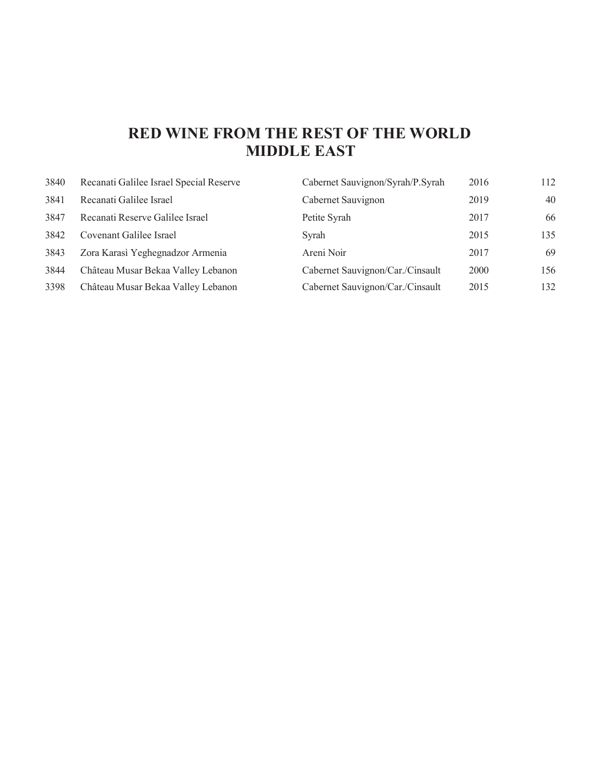## **RED WINE FROM THE REST OF THE WORLD MIDDLE EAST**

| 3840 | Recanati Galilee Israel Special Reserve | Cabernet Sauvignon/Syrah/P.Syrah | 2016 | 112 |
|------|-----------------------------------------|----------------------------------|------|-----|
| 3841 | Recanati Galilee Israel                 | Cabernet Sauvignon               | 2019 | 40  |
| 3847 | Recanati Reserve Galilee Israel         | Petite Syrah                     | 2017 | 66  |
| 3842 | Covenant Galilee Israel                 | Syrah                            | 2015 | 135 |
| 3843 | Zora Karasi Yeghegnadzor Armenia        | Areni Noir                       | 2017 | 69  |
| 3844 | Château Musar Bekaa Valley Lebanon      | Cabernet Sauvignon/Car./Cinsault | 2000 | 156 |
| 3398 | Château Musar Bekaa Valley Lebanon      | Cabernet Sauvignon/Car./Cinsault | 2015 | 132 |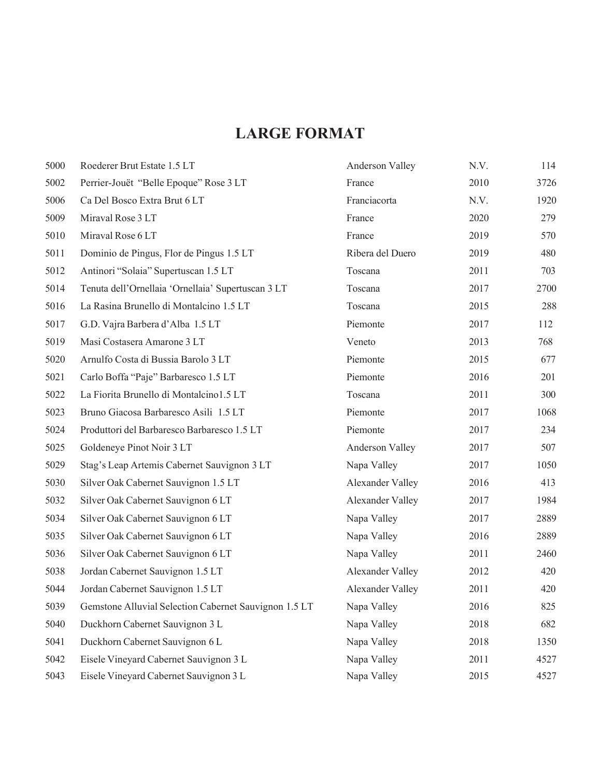## **LARGE FORMAT**

| 5000 | Roederer Brut Estate 1.5 LT                           | Anderson Valley  | N.V. | 114  |
|------|-------------------------------------------------------|------------------|------|------|
| 5002 | Perrier-Jouët "Belle Epoque" Rose 3 LT                | France           | 2010 | 3726 |
| 5006 | Ca Del Bosco Extra Brut 6 LT                          | Franciacorta     | N.V. | 1920 |
| 5009 | Miraval Rose 3 LT                                     | France           | 2020 | 279  |
| 5010 | Miraval Rose 6 LT                                     | France           | 2019 | 570  |
| 5011 | Dominio de Pingus, Flor de Pingus 1.5 LT              | Ribera del Duero | 2019 | 480  |
| 5012 | Antinori "Solaia" Supertuscan 1.5 LT                  | Toscana          | 2011 | 703  |
| 5014 | Tenuta dell'Ornellaia 'Ornellaia' Supertuscan 3 LT    | Toscana          | 2017 | 2700 |
| 5016 | La Rasina Brunello di Montalcino 1.5 LT               | Toscana          | 2015 | 288  |
| 5017 | G.D. Vajra Barbera d'Alba 1.5 LT                      | Piemonte         | 2017 | 112  |
| 5019 | Masi Costasera Amarone 3 LT                           | Veneto           | 2013 | 768  |
| 5020 | Arnulfo Costa di Bussia Barolo 3 LT                   | Piemonte         | 2015 | 677  |
| 5021 | Carlo Boffa "Paje" Barbaresco 1.5 LT                  | Piemonte         | 2016 | 201  |
| 5022 | La Fiorita Brunello di Montalcino1.5 LT               | Toscana          | 2011 | 300  |
| 5023 | Bruno Giacosa Barbaresco Asili 1.5 LT                 | Piemonte         | 2017 | 1068 |
| 5024 | Produttori del Barbaresco Barbaresco 1.5 LT           | Piemonte         | 2017 | 234  |
| 5025 | Goldeneye Pinot Noir 3 LT                             | Anderson Valley  | 2017 | 507  |
| 5029 | Stag's Leap Artemis Cabernet Sauvignon 3 LT           | Napa Valley      | 2017 | 1050 |
| 5030 | Silver Oak Cabernet Sauvignon 1.5 LT                  | Alexander Valley | 2016 | 413  |
| 5032 | Silver Oak Cabernet Sauvignon 6 LT                    | Alexander Valley | 2017 | 1984 |
| 5034 | Silver Oak Cabernet Sauvignon 6 LT                    | Napa Valley      | 2017 | 2889 |
| 5035 | Silver Oak Cabernet Sauvignon 6 LT                    | Napa Valley      | 2016 | 2889 |
| 5036 | Silver Oak Cabernet Sauvignon 6 LT                    | Napa Valley      | 2011 | 2460 |
| 5038 | Jordan Cabernet Sauvignon 1.5 LT                      | Alexander Valley | 2012 | 420  |
| 5044 | Jordan Cabernet Sauvignon 1.5 LT                      | Alexander Valley | 2011 | 420  |
| 5039 | Gemstone Alluvial Selection Cabernet Sauvignon 1.5 LT | Napa Valley      | 2016 | 825  |
| 5040 | Duckhorn Cabernet Sauvignon 3 L                       | Napa Valley      | 2018 | 682  |
| 5041 | Duckhorn Cabernet Sauvignon 6 L                       | Napa Valley      | 2018 | 1350 |
| 5042 | Eisele Vineyard Cabernet Sauvignon 3 L                | Napa Valley      | 2011 | 4527 |
| 5043 | Eisele Vineyard Cabernet Sauvignon 3 L                | Napa Valley      | 2015 | 4527 |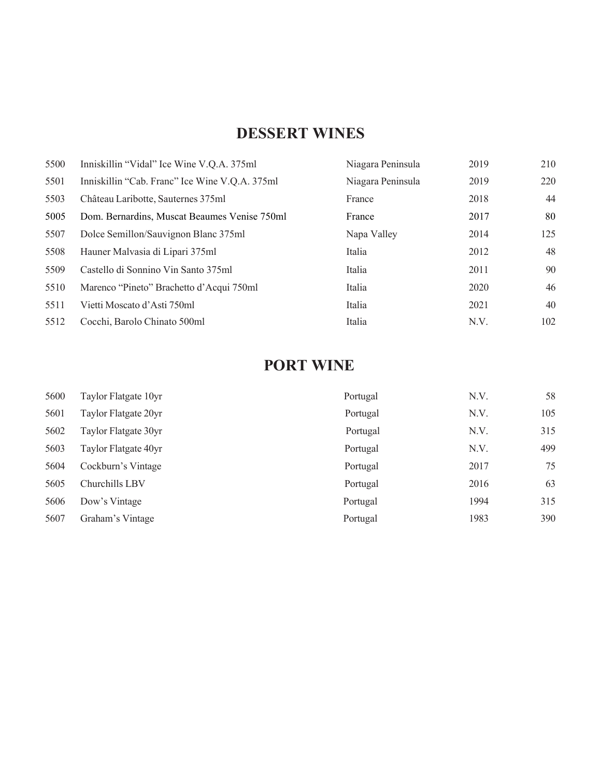## **DESSERT WINES**

| 5500 | Inniskillin "Vidal" Ice Wine V.Q.A. 375ml      | Niagara Peninsula | 2019 | 210 |
|------|------------------------------------------------|-------------------|------|-----|
| 5501 | Inniskillin "Cab. Franc" Ice Wine V.Q.A. 375ml | Niagara Peninsula | 2019 | 220 |
| 5503 | Château Laribotte, Sauternes 375ml             | France            | 2018 | 44  |
| 5005 | Dom. Bernardins, Muscat Beaumes Venise 750ml   | France            | 2017 | 80  |
| 5507 | Dolce Semillon/Sauvignon Blanc 375ml           | Napa Valley       | 2014 | 125 |
| 5508 | Hauner Malvasia di Lipari 375ml                | Italia            | 2012 | 48  |
| 5509 | Castello di Sonnino Vin Santo 375ml            | Italia            | 2011 | 90  |
| 5510 | Marenco "Pineto" Brachetto d'Acqui 750ml       | Italia            | 2020 | 46  |
| 5511 | Vietti Moscato d'Asti 750ml                    | Italia            | 2021 | 40  |
| 5512 | Cocchi, Barolo Chinato 500ml                   | Italia            | N.V. | 102 |

## **PORT WINE**

| 5600 | Taylor Flatgate 10yr | Portugal | N.V. | 58  |
|------|----------------------|----------|------|-----|
| 5601 | Taylor Flatgate 20yr | Portugal | N.V. | 105 |
| 5602 | Taylor Flatgate 30yr | Portugal | N.V. | 315 |
| 5603 | Taylor Flatgate 40yr | Portugal | N.V. | 499 |
| 5604 | Cockburn's Vintage   | Portugal | 2017 | 75  |
| 5605 | Churchills LBV       | Portugal | 2016 | 63  |
| 5606 | Dow's Vintage        | Portugal | 1994 | 315 |
| 5607 | Graham's Vintage     | Portugal | 1983 | 390 |